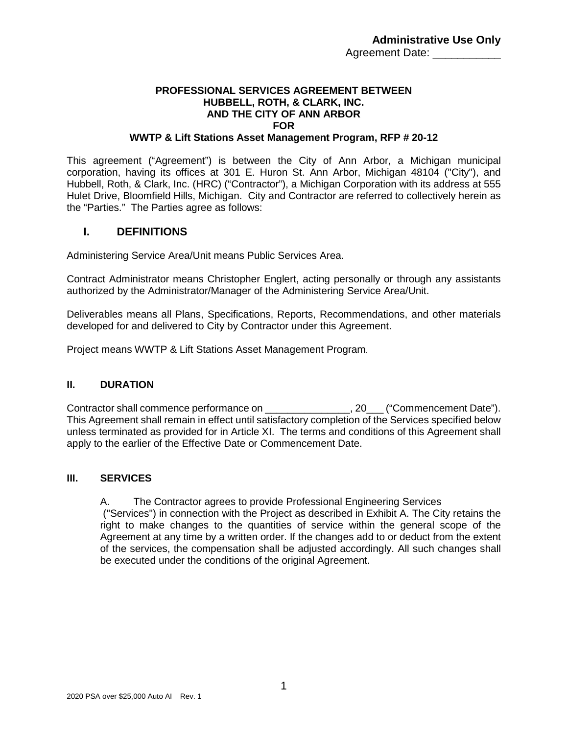### **PROFESSIONAL SERVICES AGREEMENT BETWEEN HUBBELL, ROTH, & CLARK, INC. AND THE CITY OF ANN ARBOR FOR**

#### **WWTP & Lift Stations Asset Management Program, RFP # 20-12**

This agreement ("Agreement") is between the City of Ann Arbor, a Michigan municipal corporation, having its offices at 301 E. Huron St. Ann Arbor, Michigan 48104 ("City"), and Hubbell, Roth, & Clark, Inc. (HRC) ("Contractor"), a Michigan Corporation with its address at 555 Hulet Drive, Bloomfield Hills, Michigan. City and Contractor are referred to collectively herein as the "Parties." The Parties agree as follows:

#### **I. DEFINITIONS**

Administering Service Area/Unit means Public Services Area.

Contract Administrator means Christopher Englert, acting personally or through any assistants authorized by the Administrator/Manager of the Administering Service Area/Unit.

Deliverables means all Plans, Specifications, Reports, Recommendations, and other materials developed for and delivered to City by Contractor under this Agreement.

Project means WWTP & Lift Stations Asset Management Program.

#### **II. DURATION**

Contractor shall commence performance on example 20 ("Commencement Date"). This Agreement shall remain in effect until satisfactory completion of the Services specified below unless terminated as provided for in Article XI. The terms and conditions of this Agreement shall apply to the earlier of the Effective Date or Commencement Date.

#### **III. SERVICES**

A. The Contractor agrees to provide Professional Engineering Services

("Services") in connection with the Project as described in Exhibit A. The City retains the right to make changes to the quantities of service within the general scope of the Agreement at any time by a written order. If the changes add to or deduct from the extent of the services, the compensation shall be adjusted accordingly. All such changes shall be executed under the conditions of the original Agreement.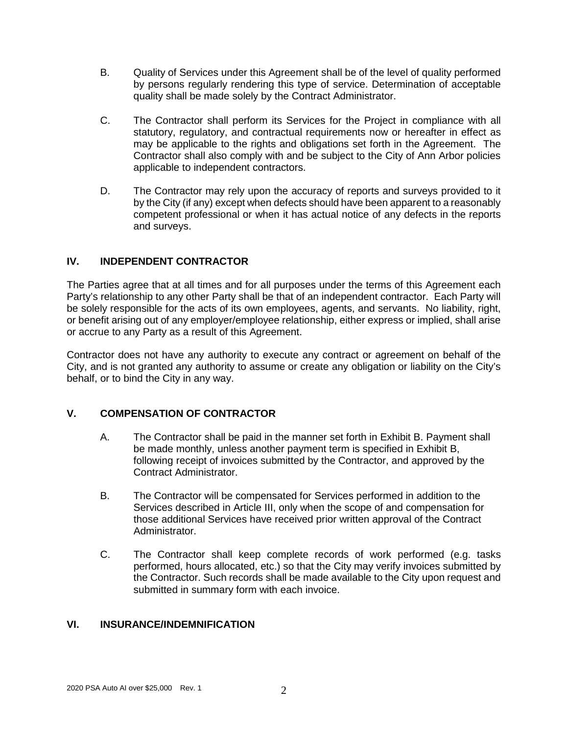- B. Quality of Services under this Agreement shall be of the level of quality performed by persons regularly rendering this type of service. Determination of acceptable quality shall be made solely by the Contract Administrator.
- C. The Contractor shall perform its Services for the Project in compliance with all statutory, regulatory, and contractual requirements now or hereafter in effect as may be applicable to the rights and obligations set forth in the Agreement. The Contractor shall also comply with and be subject to the City of Ann Arbor policies applicable to independent contractors.
- D. The Contractor may rely upon the accuracy of reports and surveys provided to it by the City (if any) except when defects should have been apparent to a reasonably competent professional or when it has actual notice of any defects in the reports and surveys.

### **IV. INDEPENDENT CONTRACTOR**

The Parties agree that at all times and for all purposes under the terms of this Agreement each Party's relationship to any other Party shall be that of an independent contractor. Each Party will be solely responsible for the acts of its own employees, agents, and servants. No liability, right, or benefit arising out of any employer/employee relationship, either express or implied, shall arise or accrue to any Party as a result of this Agreement.

Contractor does not have any authority to execute any contract or agreement on behalf of the City, and is not granted any authority to assume or create any obligation or liability on the City's behalf, or to bind the City in any way.

### **V. COMPENSATION OF CONTRACTOR**

- A. The Contractor shall be paid in the manner set forth in Exhibit B. Payment shall be made monthly, unless another payment term is specified in Exhibit B, following receipt of invoices submitted by the Contractor, and approved by the Contract Administrator.
- B. The Contractor will be compensated for Services performed in addition to the Services described in Article III, only when the scope of and compensation for those additional Services have received prior written approval of the Contract Administrator.
- C. The Contractor shall keep complete records of work performed (e.g. tasks performed, hours allocated, etc.) so that the City may verify invoices submitted by the Contractor. Such records shall be made available to the City upon request and submitted in summary form with each invoice.

### **VI. INSURANCE/INDEMNIFICATION**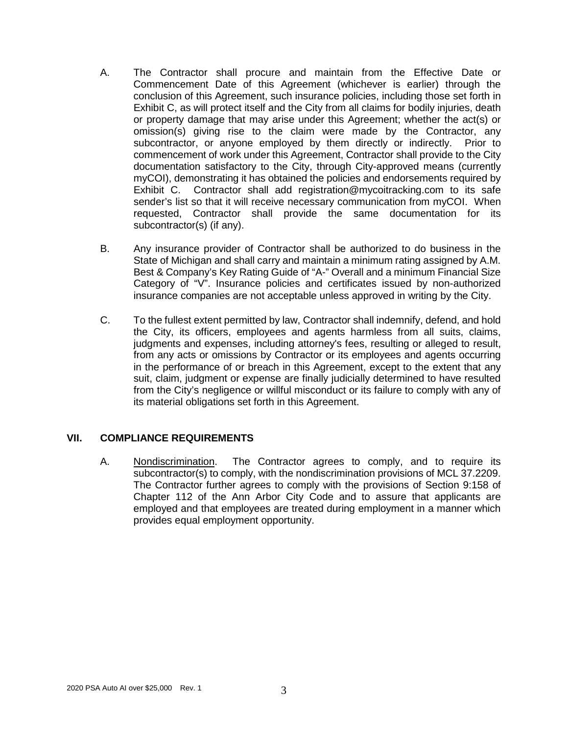- A. The Contractor shall procure and maintain from the Effective Date or Commencement Date of this Agreement (whichever is earlier) through the conclusion of this Agreement, such insurance policies, including those set forth in Exhibit C, as will protect itself and the City from all claims for bodily injuries, death or property damage that may arise under this Agreement; whether the act(s) or omission(s) giving rise to the claim were made by the Contractor, any subcontractor, or anyone employed by them directly or indirectly. Prior to commencement of work under this Agreement, Contractor shall provide to the City documentation satisfactory to the City, through City-approved means (currently myCOI), demonstrating it has obtained the policies and endorsements required by Exhibit C. Contractor shall add registration@mycoitracking.com to its safe sender's list so that it will receive necessary communication from myCOI. When requested, Contractor shall provide the same documentation for its subcontractor(s) (if any).
- B. Any insurance provider of Contractor shall be authorized to do business in the State of Michigan and shall carry and maintain a minimum rating assigned by A.M. Best & Company's Key Rating Guide of "A-" Overall and a minimum Financial Size Category of "V". Insurance policies and certificates issued by non-authorized insurance companies are not acceptable unless approved in writing by the City.
- C. To the fullest extent permitted by law, Contractor shall indemnify, defend, and hold the City, its officers, employees and agents harmless from all suits, claims, judgments and expenses, including attorney's fees, resulting or alleged to result, from any acts or omissions by Contractor or its employees and agents occurring in the performance of or breach in this Agreement, except to the extent that any suit, claim, judgment or expense are finally judicially determined to have resulted from the City's negligence or willful misconduct or its failure to comply with any of its material obligations set forth in this Agreement.

### **VII. COMPLIANCE REQUIREMENTS**

A. Nondiscrimination. The Contractor agrees to comply, and to require its subcontractor(s) to comply, with the nondiscrimination provisions of MCL 37.2209. The Contractor further agrees to comply with the provisions of Section 9:158 of Chapter 112 of the Ann Arbor City Code and to assure that applicants are employed and that employees are treated during employment in a manner which provides equal employment opportunity.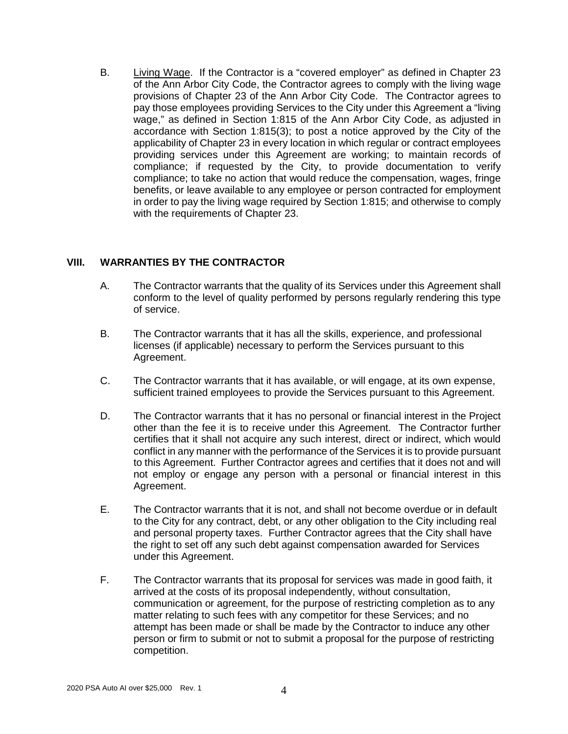B. Living Wage. If the Contractor is a "covered employer" as defined in Chapter 23 of the Ann Arbor City Code, the Contractor agrees to comply with the living wage provisions of Chapter 23 of the Ann Arbor City Code. The Contractor agrees to pay those employees providing Services to the City under this Agreement a "living wage," as defined in Section 1:815 of the Ann Arbor City Code, as adjusted in accordance with Section 1:815(3); to post a notice approved by the City of the applicability of Chapter 23 in every location in which regular or contract employees providing services under this Agreement are working; to maintain records of compliance; if requested by the City, to provide documentation to verify compliance; to take no action that would reduce the compensation, wages, fringe benefits, or leave available to any employee or person contracted for employment in order to pay the living wage required by Section 1:815; and otherwise to comply with the requirements of Chapter 23.

### **VIII. WARRANTIES BY THE CONTRACTOR**

- A. The Contractor warrants that the quality of its Services under this Agreement shall conform to the level of quality performed by persons regularly rendering this type of service.
- B. The Contractor warrants that it has all the skills, experience, and professional licenses (if applicable) necessary to perform the Services pursuant to this Agreement.
- C. The Contractor warrants that it has available, or will engage, at its own expense, sufficient trained employees to provide the Services pursuant to this Agreement.
- D. The Contractor warrants that it has no personal or financial interest in the Project other than the fee it is to receive under this Agreement. The Contractor further certifies that it shall not acquire any such interest, direct or indirect, which would conflict in any manner with the performance of the Services it is to provide pursuant to this Agreement. Further Contractor agrees and certifies that it does not and will not employ or engage any person with a personal or financial interest in this Agreement.
- E. The Contractor warrants that it is not, and shall not become overdue or in default to the City for any contract, debt, or any other obligation to the City including real and personal property taxes. Further Contractor agrees that the City shall have the right to set off any such debt against compensation awarded for Services under this Agreement.
- F. The Contractor warrants that its proposal for services was made in good faith, it arrived at the costs of its proposal independently, without consultation, communication or agreement, for the purpose of restricting completion as to any matter relating to such fees with any competitor for these Services; and no attempt has been made or shall be made by the Contractor to induce any other person or firm to submit or not to submit a proposal for the purpose of restricting competition.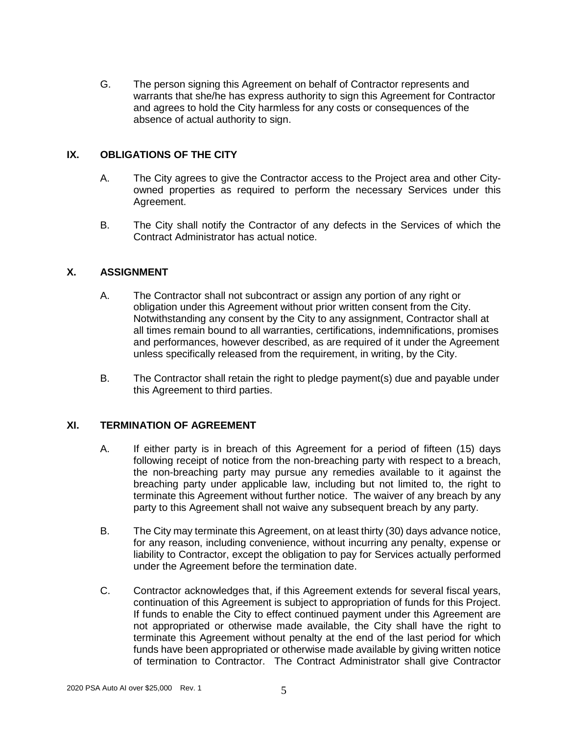G. The person signing this Agreement on behalf of Contractor represents and warrants that she/he has express authority to sign this Agreement for Contractor and agrees to hold the City harmless for any costs or consequences of the absence of actual authority to sign.

#### **IX. OBLIGATIONS OF THE CITY**

- A. The City agrees to give the Contractor access to the Project area and other Cityowned properties as required to perform the necessary Services under this Agreement.
- B. The City shall notify the Contractor of any defects in the Services of which the Contract Administrator has actual notice.

### **X. ASSIGNMENT**

- A. The Contractor shall not subcontract or assign any portion of any right or obligation under this Agreement without prior written consent from the City. Notwithstanding any consent by the City to any assignment, Contractor shall at all times remain bound to all warranties, certifications, indemnifications, promises and performances, however described, as are required of it under the Agreement unless specifically released from the requirement, in writing, by the City.
- B. The Contractor shall retain the right to pledge payment(s) due and payable under this Agreement to third parties.

#### **XI. TERMINATION OF AGREEMENT**

- A. If either party is in breach of this Agreement for a period of fifteen (15) days following receipt of notice from the non-breaching party with respect to a breach, the non-breaching party may pursue any remedies available to it against the breaching party under applicable law, including but not limited to, the right to terminate this Agreement without further notice. The waiver of any breach by any party to this Agreement shall not waive any subsequent breach by any party.
- B. The City may terminate this Agreement, on at least thirty (30) days advance notice, for any reason, including convenience, without incurring any penalty, expense or liability to Contractor, except the obligation to pay for Services actually performed under the Agreement before the termination date.
- C. Contractor acknowledges that, if this Agreement extends for several fiscal years, continuation of this Agreement is subject to appropriation of funds for this Project. If funds to enable the City to effect continued payment under this Agreement are not appropriated or otherwise made available, the City shall have the right to terminate this Agreement without penalty at the end of the last period for which funds have been appropriated or otherwise made available by giving written notice of termination to Contractor. The Contract Administrator shall give Contractor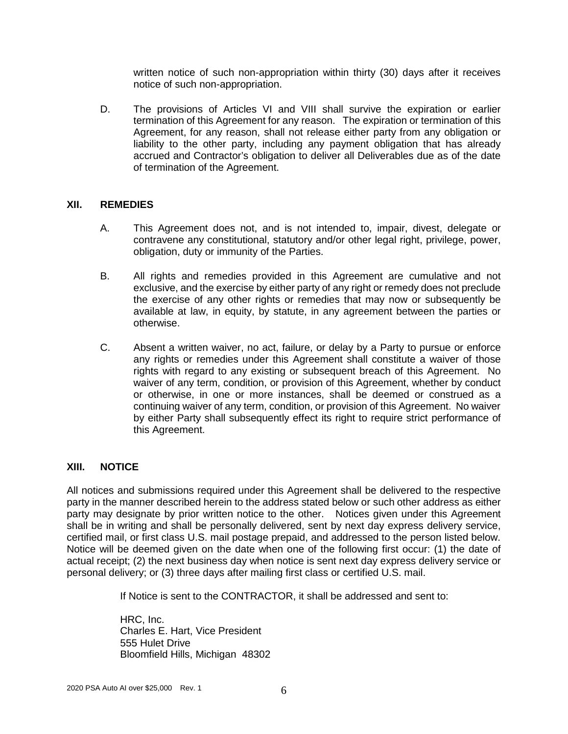written notice of such non-appropriation within thirty (30) days after it receives notice of such non-appropriation.

D. The provisions of Articles VI and VIII shall survive the expiration or earlier termination of this Agreement for any reason. The expiration or termination of this Agreement, for any reason, shall not release either party from any obligation or liability to the other party, including any payment obligation that has already accrued and Contractor's obligation to deliver all Deliverables due as of the date of termination of the Agreement.

#### **XII. REMEDIES**

- A. This Agreement does not, and is not intended to, impair, divest, delegate or contravene any constitutional, statutory and/or other legal right, privilege, power, obligation, duty or immunity of the Parties.
- B. All rights and remedies provided in this Agreement are cumulative and not exclusive, and the exercise by either party of any right or remedy does not preclude the exercise of any other rights or remedies that may now or subsequently be available at law, in equity, by statute, in any agreement between the parties or otherwise.
- C. Absent a written waiver, no act, failure, or delay by a Party to pursue or enforce any rights or remedies under this Agreement shall constitute a waiver of those rights with regard to any existing or subsequent breach of this Agreement. No waiver of any term, condition, or provision of this Agreement, whether by conduct or otherwise, in one or more instances, shall be deemed or construed as a continuing waiver of any term, condition, or provision of this Agreement. No waiver by either Party shall subsequently effect its right to require strict performance of this Agreement.

### **XIII. NOTICE**

All notices and submissions required under this Agreement shall be delivered to the respective party in the manner described herein to the address stated below or such other address as either party may designate by prior written notice to the other. Notices given under this Agreement shall be in writing and shall be personally delivered, sent by next day express delivery service, certified mail, or first class U.S. mail postage prepaid, and addressed to the person listed below. Notice will be deemed given on the date when one of the following first occur: (1) the date of actual receipt; (2) the next business day when notice is sent next day express delivery service or personal delivery; or (3) three days after mailing first class or certified U.S. mail.

If Notice is sent to the CONTRACTOR, it shall be addressed and sent to:

HRC, Inc. Charles E. Hart, Vice President 555 Hulet Drive Bloomfield Hills, Michigan 48302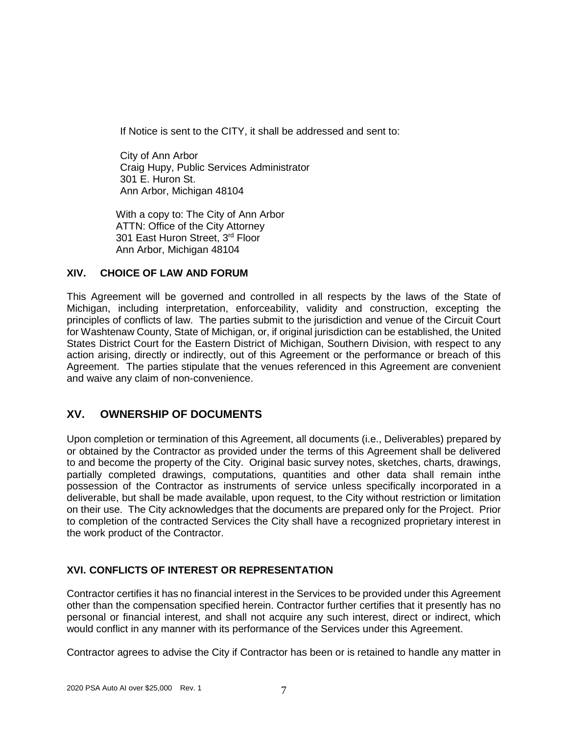If Notice is sent to the CITY, it shall be addressed and sent to:

City of Ann Arbor Craig Hupy, Public Services Administrator 301 E. Huron St. Ann Arbor, Michigan 48104

With a copy to: The City of Ann Arbor ATTN: Office of the City Attorney 301 East Huron Street, 3rd Floor Ann Arbor, Michigan 48104

### **XIV. CHOICE OF LAW AND FORUM**

This Agreement will be governed and controlled in all respects by the laws of the State of Michigan, including interpretation, enforceability, validity and construction, excepting the principles of conflicts of law. The parties submit to the jurisdiction and venue of the Circuit Court for Washtenaw County, State of Michigan, or, if original jurisdiction can be established, the United States District Court for the Eastern District of Michigan, Southern Division, with respect to any action arising, directly or indirectly, out of this Agreement or the performance or breach of this Agreement. The parties stipulate that the venues referenced in this Agreement are convenient and waive any claim of non-convenience.

### **XV. OWNERSHIP OF DOCUMENTS**

Upon completion or termination of this Agreement, all documents (i.e., Deliverables) prepared by or obtained by the Contractor as provided under the terms of this Agreement shall be delivered to and become the property of the City. Original basic survey notes, sketches, charts, drawings, partially completed drawings, computations, quantities and other data shall remain inthe possession of the Contractor as instruments of service unless specifically incorporated in a deliverable, but shall be made available, upon request, to the City without restriction or limitation on their use. The City acknowledges that the documents are prepared only for the Project. Prior to completion of the contracted Services the City shall have a recognized proprietary interest in the work product of the Contractor.

### **XVI. CONFLICTS OF INTEREST OR REPRESENTATION**

Contractor certifies it has no financial interest in the Services to be provided under this Agreement other than the compensation specified herein. Contractor further certifies that it presently has no personal or financial interest, and shall not acquire any such interest, direct or indirect, which would conflict in any manner with its performance of the Services under this Agreement.

Contractor agrees to advise the City if Contractor has been or is retained to handle any matter in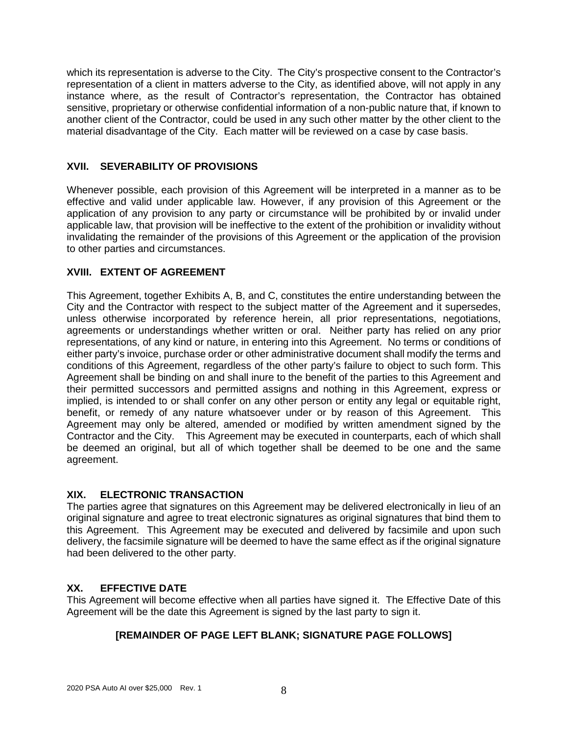which its representation is adverse to the City. The City's prospective consent to the Contractor's representation of a client in matters adverse to the City, as identified above, will not apply in any instance where, as the result of Contractor's representation, the Contractor has obtained sensitive, proprietary or otherwise confidential information of a non-public nature that, if known to another client of the Contractor, could be used in any such other matter by the other client to the material disadvantage of the City. Each matter will be reviewed on a case by case basis.

### **XVII. SEVERABILITY OF PROVISIONS**

Whenever possible, each provision of this Agreement will be interpreted in a manner as to be effective and valid under applicable law. However, if any provision of this Agreement or the application of any provision to any party or circumstance will be prohibited by or invalid under applicable law, that provision will be ineffective to the extent of the prohibition or invalidity without invalidating the remainder of the provisions of this Agreement or the application of the provision to other parties and circumstances.

### **XVIII. EXTENT OF AGREEMENT**

This Agreement, together Exhibits A, B, and C, constitutes the entire understanding between the City and the Contractor with respect to the subject matter of the Agreement and it supersedes, unless otherwise incorporated by reference herein, all prior representations, negotiations, agreements or understandings whether written or oral. Neither party has relied on any prior representations, of any kind or nature, in entering into this Agreement. No terms or conditions of either party's invoice, purchase order or other administrative document shall modify the terms and conditions of this Agreement, regardless of the other party's failure to object to such form. This Agreement shall be binding on and shall inure to the benefit of the parties to this Agreement and their permitted successors and permitted assigns and nothing in this Agreement, express or implied, is intended to or shall confer on any other person or entity any legal or equitable right, benefit, or remedy of any nature whatsoever under or by reason of this Agreement. This Agreement may only be altered, amended or modified by written amendment signed by the Contractor and the City. This Agreement may be executed in counterparts, each of which shall be deemed an original, but all of which together shall be deemed to be one and the same agreement.

### **XIX. ELECTRONIC TRANSACTION**

The parties agree that signatures on this Agreement may be delivered electronically in lieu of an original signature and agree to treat electronic signatures as original signatures that bind them to this Agreement. This Agreement may be executed and delivered by facsimile and upon such delivery, the facsimile signature will be deemed to have the same effect as if the original signature had been delivered to the other party.

### **XX. EFFECTIVE DATE**

This Agreement will become effective when all parties have signed it. The Effective Date of this Agreement will be the date this Agreement is signed by the last party to sign it.

### **[REMAINDER OF PAGE LEFT BLANK; SIGNATURE PAGE FOLLOWS]**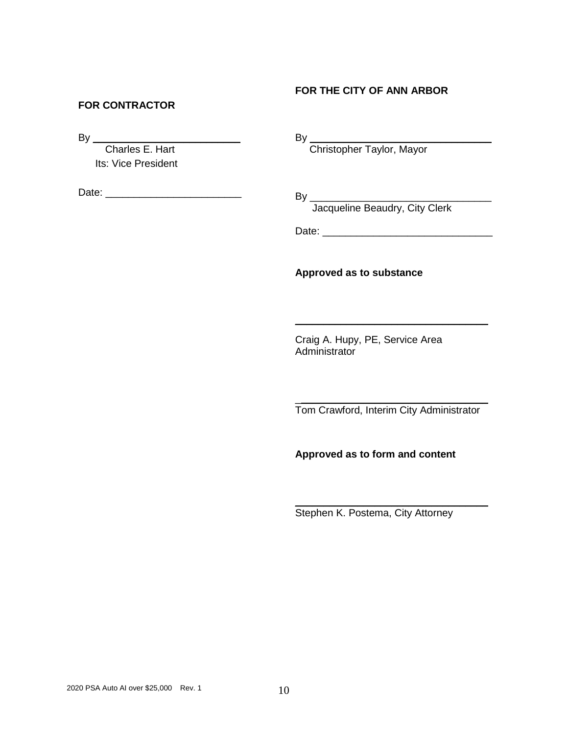### **FOR THE CITY OF ANN ARBOR**

#### **FOR CONTRACTOR**

By \_\_\_\_\_\_\_\_\_\_\_\_\_\_\_\_\_\_\_\_\_\_\_\_\_\_

 Charles E. Hart Its: Vice President

Date: \_\_\_\_\_\_\_\_\_\_\_\_\_\_\_\_\_\_\_\_\_\_\_\_

By \_\_\_\_\_\_\_\_\_\_\_\_\_\_\_\_\_\_\_\_\_\_\_\_\_\_\_\_\_\_\_\_

Christopher Taylor, Mayor

By \_\_\_\_\_\_\_\_\_\_\_\_\_\_\_\_\_\_\_\_\_\_\_\_\_\_\_\_\_\_\_\_ Jacqueline Beaudry, City Clerk

Date: \_\_\_\_\_\_\_\_\_\_\_\_\_\_\_\_\_\_\_\_\_\_\_\_\_\_\_\_\_\_

**Approved as to substance**

Craig A. Hupy, PE, Service Area Administrator

 $\overline{\phantom{a}}$  , which is a set of the set of the set of the set of the set of the set of the set of the set of the set of the set of the set of the set of the set of the set of the set of the set of the set of the set of th Tom Crawford, Interim City Administrator

 $\overline{\phantom{a}}$  , and the set of the set of the set of the set of the set of the set of the set of the set of the set of the set of the set of the set of the set of the set of the set of the set of the set of the set of the s

**Approved as to form and content**

Stephen K. Postema, City Attorney

 $\overline{\phantom{a}}$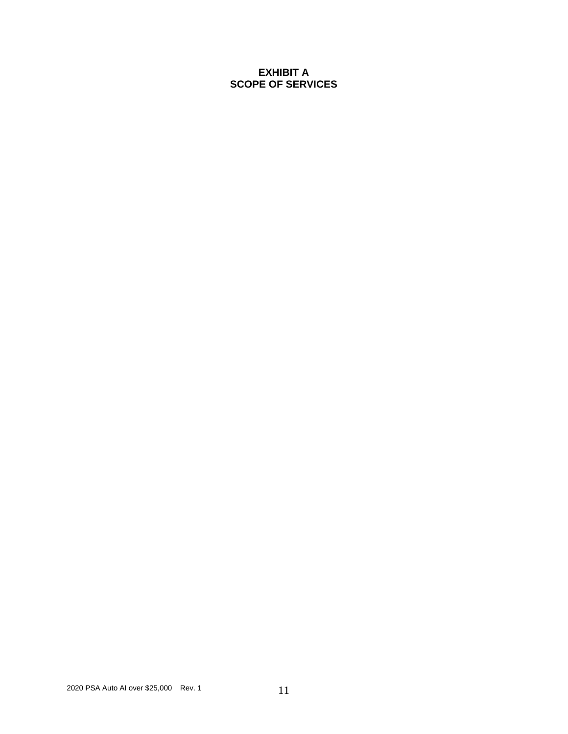### **EXHIBIT A SCOPE OF SERVICES**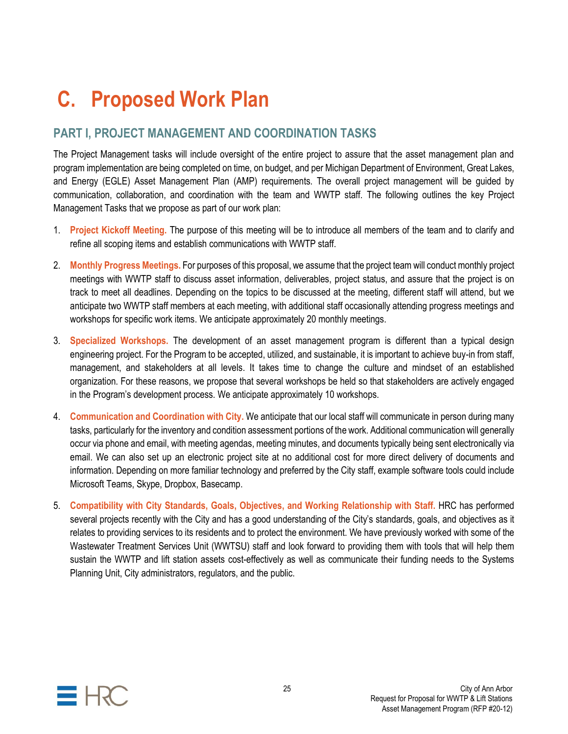# **C. Proposed Work Plan**

# **PART I, PROJECT MANAGEMENT AND COORDINATION TASKS**

The Project Management tasks will include oversight of the entire project to assure that the asset management plan and program implementation are being completed on time, on budget, and per Michigan Department of Environment, Great Lakes, and Energy (EGLE) Asset Management Plan (AMP) requirements. The overall project management will be guided by communication, collaboration, and coordination with the team and WWTP staff. The following outlines the key Project Management Tasks that we propose as part of our work plan:

- 1. **Project Kickoff Meeting.** The purpose of this meeting will be to introduce all members of the team and to clarify and refine all scoping items and establish communications with WWTP staff.
- 2. **Monthly Progress Meetings.** For purposes of this proposal, we assume that the project team will conduct monthly project meetings with WWTP staff to discuss asset information, deliverables, project status, and assure that the project is on track to meet all deadlines. Depending on the topics to be discussed at the meeting, different staff will attend, but we anticipate two WWTP staff members at each meeting, with additional staff occasionally attending progress meetings and workshops for specific work items. We anticipate approximately 20 monthly meetings.
- 3. **Specialized Workshops.** The development of an asset management program is different than a typical design engineering project. For the Program to be accepted, utilized, and sustainable, it is important to achieve buy-in from staff, management, and stakeholders at all levels. It takes time to change the culture and mindset of an established organization. For these reasons, we propose that several workshops be held so that stakeholders are actively engaged in the Program's development process. We anticipate approximately 10 workshops.
- 4. **Communication and Coordination with City.** We anticipate that our local staff will communicate in person during many tasks, particularly for the inventory and condition assessment portions of the work. Additional communication will generally occur via phone and email, with meeting agendas, meeting minutes, and documents typically being sent electronically via email. We can also set up an electronic project site at no additional cost for more direct delivery of documents and information. Depending on more familiar technology and preferred by the City staff, example software tools could include Microsoft Teams, Skype, Dropbox, Basecamp.
- 5. **Compatibility with City Standards, Goals, Objectives, and Working Relationship with Staff.** HRC has performed several projects recently with the City and has a good understanding of the City's standards, goals, and objectives as it relates to providing services to its residents and to protect the environment. We have previously worked with some of the Wastewater Treatment Services Unit (WWTSU) staff and look forward to providing them with tools that will help them sustain the WWTP and lift station assets cost-effectively as well as communicate their funding needs to the Systems Planning Unit, City administrators, regulators, and the public.

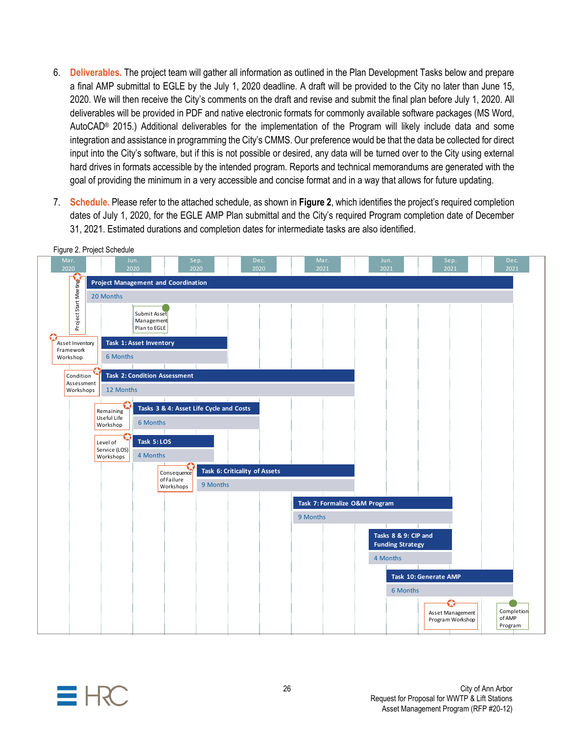- 6. **Deliverables.** The project team will gather all information as outlined in the Plan Development Tasks below and prepare a final AMP submittal to EGLE by the July 1, 2020 deadline. A draft will be provided to the City no later than June 15, 2020. We will then receive the City's comments on the draft and revise and submit the final plan before July 1, 2020. All deliverables will be provided in PDF and native electronic formats for commonly available software packages (MS Word, AutoCAD® 2015.) Additional deliverables for the implementation of the Program will likely include data and some integration and assistance in programming the City's CMMS. Our preference would be that the data be collected for direct input into the City's software, but if this is not possible or desired, any data will be turned over to the City using external hard drives in formats accessible by the intended program. Reports and technical memorandums are generated with the goal of providing the minimum in a very accessible and concise format and in a way that allows for future updating.
- 7. **Schedule.** Please refer to the attached schedule, as shown in **Figure 2**, which identifies the project's required completion dates of July 1, 2020, for the EGLE AMP Plan submittal and the City's required Program completion date of December 31, 2021. Estimated durations and completion dates for intermediate tasks are also identified.



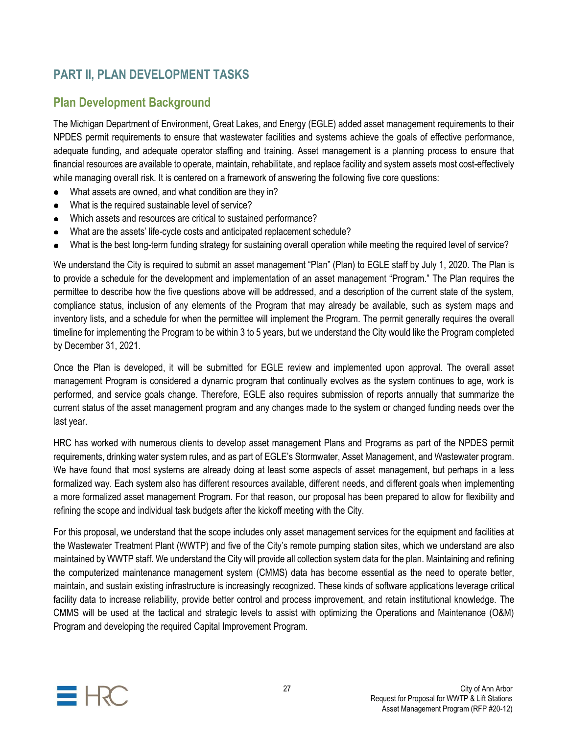# **PART II, PLAN DEVELOPMENT TASKS**

## **Plan Development Background**

The Michigan Department of Environment, Great Lakes, and Energy (EGLE) added asset management requirements to their NPDES permit requirements to ensure that wastewater facilities and systems achieve the goals of effective performance, adequate funding, and adequate operator staffing and training. Asset management is a planning process to ensure that financial resources are available to operate, maintain, rehabilitate, and replace facility and system assets most cost-effectively while managing overall risk. It is centered on a framework of answering the following five core questions:

- What assets are owned, and what condition are they in?
- What is the required sustainable level of service?
- Which assets and resources are critical to sustained performance?
- What are the assets' life-cycle costs and anticipated replacement schedule?
- What is the best long-term funding strategy for sustaining overall operation while meeting the required level of service?

We understand the City is required to submit an asset management "Plan" (Plan) to EGLE staff by July 1, 2020. The Plan is to provide a schedule for the development and implementation of an asset management "Program." The Plan requires the permittee to describe how the five questions above will be addressed, and a description of the current state of the system, compliance status, inclusion of any elements of the Program that may already be available, such as system maps and inventory lists, and a schedule for when the permittee will implement the Program. The permit generally requires the overall timeline for implementing the Program to be within 3 to 5 years, but we understand the City would like the Program completed by December 31, 2021.

Once the Plan is developed, it will be submitted for EGLE review and implemented upon approval. The overall asset management Program is considered a dynamic program that continually evolves as the system continues to age, work is performed, and service goals change. Therefore, EGLE also requires submission of reports annually that summarize the current status of the asset management program and any changes made to the system or changed funding needs over the last year.

HRC has worked with numerous clients to develop asset management Plans and Programs as part of the NPDES permit requirements, drinking water system rules, and as part of EGLE's Stormwater, Asset Management, and Wastewater program. We have found that most systems are already doing at least some aspects of asset management, but perhaps in a less formalized way. Each system also has different resources available, different needs, and different goals when implementing a more formalized asset management Program. For that reason, our proposal has been prepared to allow for flexibility and refining the scope and individual task budgets after the kickoff meeting with the City.

For this proposal, we understand that the scope includes only asset management services for the equipment and facilities at the Wastewater Treatment Plant (WWTP) and five of the City's remote pumping station sites, which we understand are also maintained by WWTP staff. We understand the City will provide all collection system data for the plan. Maintaining and refining the computerized maintenance management system (CMMS) data has become essential as the need to operate better, maintain, and sustain existing infrastructure is increasingly recognized. These kinds of software applications leverage critical facility data to increase reliability, provide better control and process improvement, and retain institutional knowledge. The CMMS will be used at the tactical and strategic levels to assist with optimizing the Operations and Maintenance (O&M) Program and developing the required Capital Improvement Program.

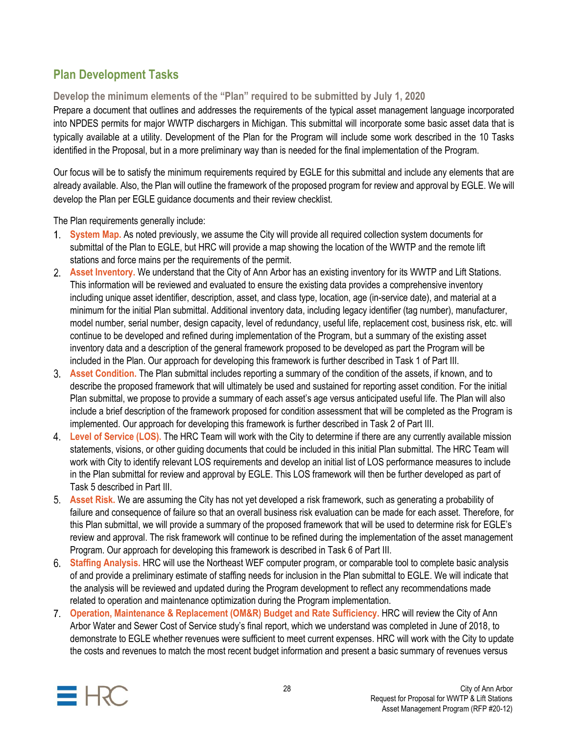# **Plan Development Tasks**

### **Develop the minimum elements of the "Plan" required to be submitted by July 1, 2020**

Prepare a document that outlines and addresses the requirements of the typical asset management language incorporated into NPDES permits for major WWTP dischargers in Michigan. This submittal will incorporate some basic asset data that is typically available at a utility. Development of the Plan for the Program will include some work described in the 10 Tasks identified in the Proposal, but in a more preliminary way than is needed for the final implementation of the Program.

Our focus will be to satisfy the minimum requirements required by EGLE for this submittal and include any elements that are already available. Also, the Plan will outline the framework of the proposed program for review and approval by EGLE. We will develop the Plan per EGLE guidance documents and their review checklist.

The Plan requirements generally include:

- **System Map.** As noted previously, we assume the City will provide all required collection system documents for submittal of the Plan to EGLE, but HRC will provide a map showing the location of the WWTP and the remote lift stations and force mains per the requirements of the permit.
- **Asset Inventory.** We understand that the City of Ann Arbor has an existing inventory for its WWTP and Lift Stations. This information will be reviewed and evaluated to ensure the existing data provides a comprehensive inventory including unique asset identifier, description, asset, and class type, location, age (in-service date), and material at a minimum for the initial Plan submittal. Additional inventory data, including legacy identifier (tag number), manufacturer, model number, serial number, design capacity, level of redundancy, useful life, replacement cost, business risk, etc. will continue to be developed and refined during implementation of the Program, but a summary of the existing asset inventory data and a description of the general framework proposed to be developed as part the Program will be included in the Plan. Our approach for developing this framework is further described in Task 1 of Part III.
- **Asset Condition.** The Plan submittal includes reporting a summary of the condition of the assets, if known, and to describe the proposed framework that will ultimately be used and sustained for reporting asset condition. For the initial Plan submittal, we propose to provide a summary of each asset's age versus anticipated useful life. The Plan will also include a brief description of the framework proposed for condition assessment that will be completed as the Program is implemented. Our approach for developing this framework is further described in Task 2 of Part III.
- **Level of Service (LOS).** The HRC Team will work with the City to determine if there are any currently available mission statements, visions, or other guiding documents that could be included in this initial Plan submittal. The HRC Team will work with City to identify relevant LOS requirements and develop an initial list of LOS performance measures to include in the Plan submittal for review and approval by EGLE. This LOS framework will then be further developed as part of Task 5 described in Part III.
- **Asset Risk.** We are assuming the City has not yet developed a risk framework, such as generating a probability of failure and consequence of failure so that an overall business risk evaluation can be made for each asset. Therefore, for this Plan submittal, we will provide a summary of the proposed framework that will be used to determine risk for EGLE's review and approval. The risk framework will continue to be refined during the implementation of the asset management Program. Our approach for developing this framework is described in Task 6 of Part III.
- **Staffing Analysis.** HRC will use the Northeast WEF computer program, or comparable tool to complete basic analysis of and provide a preliminary estimate of staffing needs for inclusion in the Plan submittal to EGLE. We will indicate that the analysis will be reviewed and updated during the Program development to reflect any recommendations made related to operation and maintenance optimization during the Program implementation.
- **Operation, Maintenance & Replacement (OM&R) Budget and Rate Sufficiency.** HRC will review the City of Ann Arbor Water and Sewer Cost of Service study's final report, which we understand was completed in June of 2018, to demonstrate to EGLE whether revenues were sufficient to meet current expenses. HRC will work with the City to update the costs and revenues to match the most recent budget information and present a basic summary of revenues versus

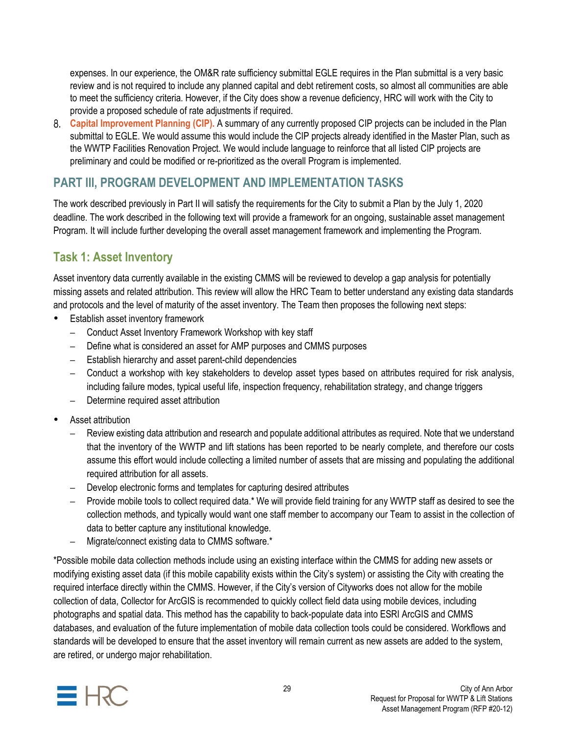expenses. In our experience, the OM&R rate sufficiency submittal EGLE requires in the Plan submittal is a very basic review and is not required to include any planned capital and debt retirement costs, so almost all communities are able to meet the sufficiency criteria. However, if the City does show a revenue deficiency, HRC will work with the City to provide a proposed schedule of rate adjustments if required.

**Capital Improvement Planning (CIP).** A summary of any currently proposed CIP projects can be included in the Plan submittal to EGLE. We would assume this would include the CIP projects already identified in the Master Plan, such as the WWTP Facilities Renovation Project. We would include language to reinforce that all listed CIP projects are preliminary and could be modified or re-prioritized as the overall Program is implemented.

### **PART III, PROGRAM DEVELOPMENT AND IMPLEMENTATION TASKS**

The work described previously in Part II will satisfy the requirements for the City to submit a Plan by the July 1, 2020 deadline. The work described in the following text will provide a framework for an ongoing, sustainable asset management Program. It will include further developing the overall asset management framework and implementing the Program.

# **Task 1: Asset Inventory**

Asset inventory data currently available in the existing CMMS will be reviewed to develop a gap analysis for potentially missing assets and related attribution. This review will allow the HRC Team to better understand any existing data standards and protocols and the level of maturity of the asset inventory. The Team then proposes the following next steps:

- Establish asset inventory framework
	- Conduct Asset Inventory Framework Workshop with key staff
	- Define what is considered an asset for AMP purposes and CMMS purposes
	- Establish hierarchy and asset parent-child dependencies
	- Conduct a workshop with key stakeholders to develop asset types based on attributes required for risk analysis, including failure modes, typical useful life, inspection frequency, rehabilitation strategy, and change triggers
	- Determine required asset attribution
- Asset attribution
	- Review existing data attribution and research and populate additional attributes as required. Note that we understand that the inventory of the WWTP and lift stations has been reported to be nearly complete, and therefore our costs assume this effort would include collecting a limited number of assets that are missing and populating the additional required attribution for all assets.
	- Develop electronic forms and templates for capturing desired attributes
	- Provide mobile tools to collect required data.\* We will provide field training for any WWTP staff as desired to see the collection methods, and typically would want one staff member to accompany our Team to assist in the collection of data to better capture any institutional knowledge.
	- Migrate/connect existing data to CMMS software.\*

\*Possible mobile data collection methods include using an existing interface within the CMMS for adding new assets or modifying existing asset data (if this mobile capability exists within the City's system) or assisting the City with creating the required interface directly within the CMMS. However, if the City's version of Cityworks does not allow for the mobile collection of data, Collector for ArcGIS is recommended to quickly collect field data using mobile devices, including photographs and spatial data. This method has the capability to back-populate data into ESRI ArcGIS and CMMS databases, and evaluation of the future implementation of mobile data collection tools could be considered. Workflows and standards will be developed to ensure that the asset inventory will remain current as new assets are added to the system, are retired, or undergo major rehabilitation.

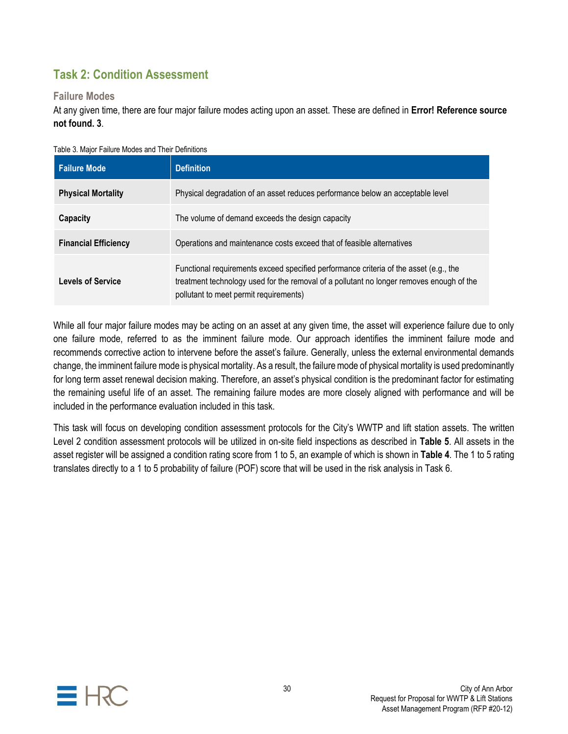# **Task 2: Condition Assessment**

### **Failure Modes**

At any given time, there are four major failure modes acting upon an asset. These are defined in **Error! Reference source not found. 3**.

| <b>Failure Mode</b>         | <b>Definition</b>                                                                                                                                                                                                           |
|-----------------------------|-----------------------------------------------------------------------------------------------------------------------------------------------------------------------------------------------------------------------------|
| <b>Physical Mortality</b>   | Physical degradation of an asset reduces performance below an acceptable level                                                                                                                                              |
| Capacity                    | The volume of demand exceeds the design capacity                                                                                                                                                                            |
| <b>Financial Efficiency</b> | Operations and maintenance costs exceed that of feasible alternatives                                                                                                                                                       |
| <b>Levels of Service</b>    | Functional requirements exceed specified performance criteria of the asset (e.g., the<br>treatment technology used for the removal of a pollutant no longer removes enough of the<br>pollutant to meet permit requirements) |

Table 3. Major Failure Modes and Their Definitions

While all four major failure modes may be acting on an asset at any given time, the asset will experience failure due to only one failure mode, referred to as the imminent failure mode. Our approach identifies the imminent failure mode and recommends corrective action to intervene before the asset's failure. Generally, unless the external environmental demands change, the imminent failure mode is physical mortality. As a result, the failure mode of physical mortality is used predominantly for long term asset renewal decision making. Therefore, an asset's physical condition is the predominant factor for estimating the remaining useful life of an asset. The remaining failure modes are more closely aligned with performance and will be included in the performance evaluation included in this task.

This task will focus on developing condition assessment protocols for the City's WWTP and lift station assets. The written Level 2 condition assessment protocols will be utilized in on-site field inspections as described in **Table 5**. All assets in the asset register will be assigned a condition rating score from 1 to 5, an example of which is shown in **Table 4**. The 1 to 5 rating translates directly to a 1 to 5 probability of failure (POF) score that will be used in the risk analysis in Task 6.

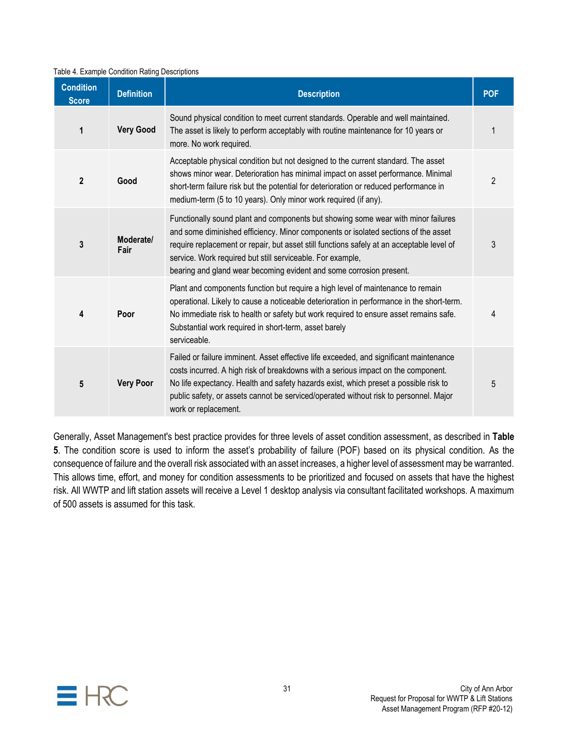#### Table 4. Example Condition Rating Descriptions

| <b>Condition</b><br><b>Score</b> | <b>Definition</b> | <b>Description</b>                                                                                                                                                                                                                                                                                                                                                                                        | <b>POF</b>     |
|----------------------------------|-------------------|-----------------------------------------------------------------------------------------------------------------------------------------------------------------------------------------------------------------------------------------------------------------------------------------------------------------------------------------------------------------------------------------------------------|----------------|
| 1                                | <b>Very Good</b>  | Sound physical condition to meet current standards. Operable and well maintained.<br>The asset is likely to perform acceptably with routine maintenance for 10 years or<br>more. No work required.                                                                                                                                                                                                        |                |
| $\mathbf{2}$                     | Good              | Acceptable physical condition but not designed to the current standard. The asset<br>shows minor wear. Deterioration has minimal impact on asset performance. Minimal<br>short-term failure risk but the potential for deterioration or reduced performance in<br>medium-term (5 to 10 years). Only minor work required (if any).                                                                         | $\overline{2}$ |
| $\mathbf 3$                      | Moderate/<br>Fair | Functionally sound plant and components but showing some wear with minor failures<br>and some diminished efficiency. Minor components or isolated sections of the asset<br>require replacement or repair, but asset still functions safely at an acceptable level of<br>service. Work required but still serviceable. For example,<br>bearing and gland wear becoming evident and some corrosion present. | 3              |
| 4                                | Poor              | Plant and components function but require a high level of maintenance to remain<br>operational. Likely to cause a noticeable deterioration in performance in the short-term.<br>No immediate risk to health or safety but work required to ensure asset remains safe.<br>Substantial work required in short-term, asset barely<br>serviceable.                                                            | 4              |
| 5                                | <b>Very Poor</b>  | Failed or failure imminent. Asset effective life exceeded, and significant maintenance<br>costs incurred. A high risk of breakdowns with a serious impact on the component.<br>No life expectancy. Health and safety hazards exist, which preset a possible risk to<br>public safety, or assets cannot be serviced/operated without risk to personnel. Major<br>work or replacement.                      | 5              |

Generally, Asset Management's best practice provides for three levels of asset condition assessment, as described in **Table 5**. The condition score is used to inform the asset's probability of failure (POF) based on its physical condition. As the consequence of failure and the overall risk associated with an asset increases, a higher level of assessment may be warranted. This allows time, effort, and money for condition assessments to be prioritized and focused on assets that have the highest risk. All WWTP and lift station assets will receive a Level 1 desktop analysis via consultant facilitated workshops. A maximum of 500 assets is assumed for this task.

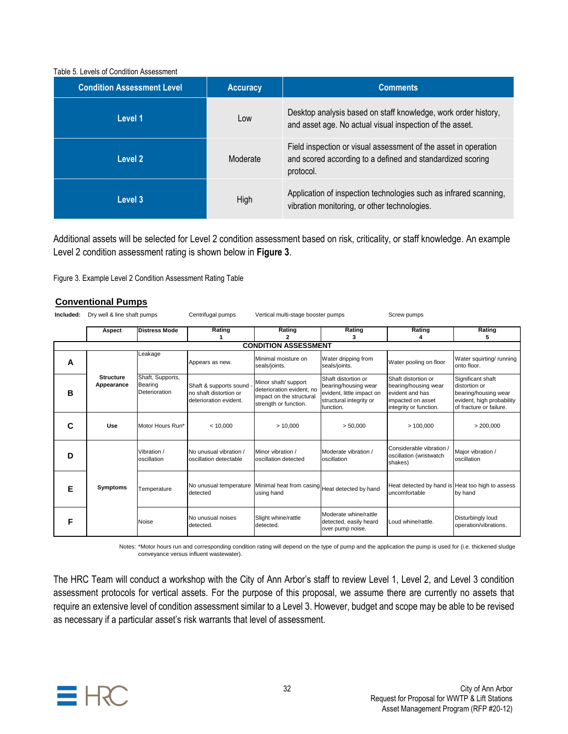#### Table 5. Levels of Condition Assessment

| <b>Condition Assessment Level</b> | <b>Accuracy</b> | <b>Comments</b>                                                                                                                            |
|-----------------------------------|-----------------|--------------------------------------------------------------------------------------------------------------------------------------------|
| Level 1                           | Low             | Desktop analysis based on staff knowledge, work order history,<br>and asset age. No actual visual inspection of the asset.                 |
| Level 2                           | Moderate        | Field inspection or visual assessment of the asset in operation<br>and scored according to a defined and standardized scoring<br>protocol. |
| Level 3                           | High            | Application of inspection technologies such as infrared scanning,<br>vibration monitoring, or other technologies.                          |

Additional assets will be selected for Level 2 condition assessment based on risk, criticality, or staff knowledge. An example Level 2 condition assessment rating is shown below in **Figure 3**.

#### **Conventional Pumps**

|           |                                |                                              | Figure 3. Example Level 2 Condition Assessment Rating Table                |                                                                                                        |                                                                                                                  |                                                                                                               |                                                                                                                    |  |
|-----------|--------------------------------|----------------------------------------------|----------------------------------------------------------------------------|--------------------------------------------------------------------------------------------------------|------------------------------------------------------------------------------------------------------------------|---------------------------------------------------------------------------------------------------------------|--------------------------------------------------------------------------------------------------------------------|--|
|           | <b>Conventional Pumps</b>      |                                              |                                                                            |                                                                                                        |                                                                                                                  |                                                                                                               |                                                                                                                    |  |
| Included: | Dry well & line shaft pumps    |                                              | Centrifugal pumps                                                          | Vertical multi-stage booster pumps                                                                     |                                                                                                                  | Screw pumps                                                                                                   |                                                                                                                    |  |
|           | <b>Distress Mode</b><br>Aspect |                                              | Rating<br>1                                                                | Rating<br>2                                                                                            | Rating<br>3                                                                                                      | Rating<br>4                                                                                                   | Rating<br>5                                                                                                        |  |
|           |                                |                                              |                                                                            | <b>CONDITION ASSESSMENT</b>                                                                            |                                                                                                                  |                                                                                                               |                                                                                                                    |  |
| A         |                                | Leakage                                      | Appears as new.                                                            | Minimal moisture on<br>seals/joints.                                                                   | Water dripping from<br>seals/joints.                                                                             | Water pooling on floor                                                                                        | Water squirting/running<br>onto floor.                                                                             |  |
| в         | <b>Structure</b><br>Appearance | Shaft, Supports,<br>Bearing<br>Deterioration | Shaft & supports sound<br>no shaft distortion or<br>deterioration evident. | Minor shaft/ support<br>deterioration evident, no<br>impact on the structural<br>strength or function. | Shaft distortion or<br>bearing/housing wear<br>evident, little impact on<br>structural integrity or<br>function. | Shaft distortion or<br>bearing/housing wear<br>evident and has<br>impacted on asset<br>integrity or function. | Significant shaft<br>distortion or<br>bearing/housing wear<br>evident, high probability<br>of fracture or failure. |  |
| C         | Use                            | Motor Hours Run*                             | < 10,000                                                                   | >10.000                                                                                                | > 50,000                                                                                                         | >100,000                                                                                                      | > 200,000                                                                                                          |  |
| D         |                                | Vibration /<br>oscillation                   | No unusual vibration /<br>oscillation detectable                           | Minor vibration /<br>oscillation detected                                                              | Moderate vibration /<br>oscillation                                                                              | Considerable vibration<br>oscillation (wristwatch<br>shakes)                                                  | Major vibration /<br>oscillation                                                                                   |  |
| Е         | <b>Symptoms</b>                | Temperature                                  | detected                                                                   | No unusual temperature Minimal heat from casing Heat detected by hand<br>using hand                    |                                                                                                                  | Heat detected by hand is Heat too high to assess<br>uncomfortable                                             | by hand                                                                                                            |  |
| F         |                                | Noise                                        | No unusual noises<br>detected.                                             | Slight whine/rattle<br>detected.                                                                       | Moderate whine/rattle<br>detected, easily heard<br>over pump noise.                                              | Loud whine/rattle.                                                                                            | Disturbingly loud<br>operation/vibrations.                                                                         |  |

Notes: \*Motor hours run and corresponding condition rating will depend on the type of pump and the application the pump is used for (i.e. thickened sludge conveyance versus influent wastewater).

The HRC Team will conduct a workshop with the City of Ann Arbor's staff to review Level 1, Level 2, and Level 3 condition assessment protocols for vertical assets. For the purpose of this proposal, we assume there are currently no assets that require an extensive level of condition assessment similar to a Level 3. However, budget and scope may be able to be revised as necessary if a particular asset's risk warrants that level of assessment.

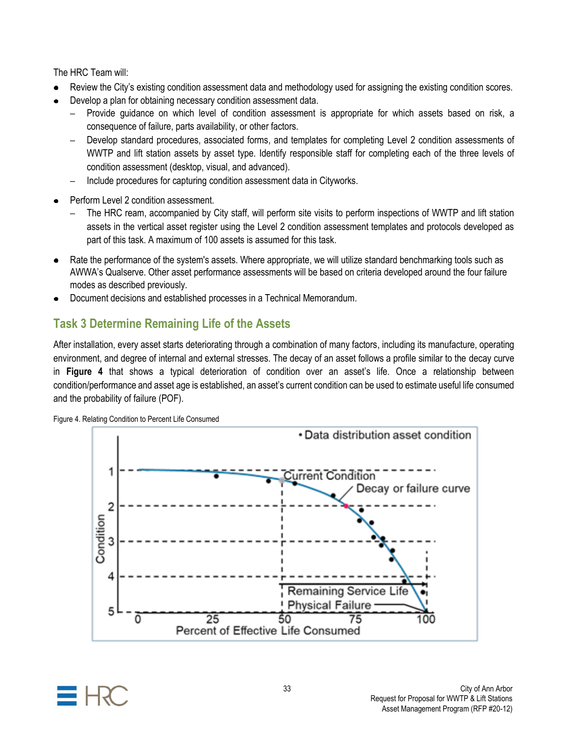The HRC Team will:

- Review the City's existing condition assessment data and methodology used for assigning the existing condition scores.
- Develop a plan for obtaining necessary condition assessment data.
	- Provide guidance on which level of condition assessment is appropriate for which assets based on risk, a consequence of failure, parts availability, or other factors.
	- Develop standard procedures, associated forms, and templates for completing Level 2 condition assessments of WWTP and lift station assets by asset type. Identify responsible staff for completing each of the three levels of condition assessment (desktop, visual, and advanced).
	- Include procedures for capturing condition assessment data in Cityworks.
- Perform Level 2 condition assessment.
	- The HRC ream, accompanied by City staff, will perform site visits to perform inspections of WWTP and lift station assets in the vertical asset register using the Level 2 condition assessment templates and protocols developed as part of this task. A maximum of 100 assets is assumed for this task.
- Rate the performance of the system's assets. Where appropriate, we will utilize standard benchmarking tools such as AWWA's Qualserve. Other asset performance assessments will be based on criteria developed around the four failure modes as described previously.
- Document decisions and established processes in a Technical Memorandum.

# **Task 3 Determine Remaining Life of the Assets**

After installation, every asset starts deteriorating through a combination of many factors, including its manufacture, operating environment, and degree of internal and external stresses. The decay of an asset follows a profile similar to the decay curve in **Figure 4** that shows a typical deterioration of condition over an asset's life. Once a relationship between condition/performance and asset age is established, an asset's current condition can be used to estimate useful life consumed and the probability of failure (POF).



Figure 4. Relating Condition to Percent Life Consumed

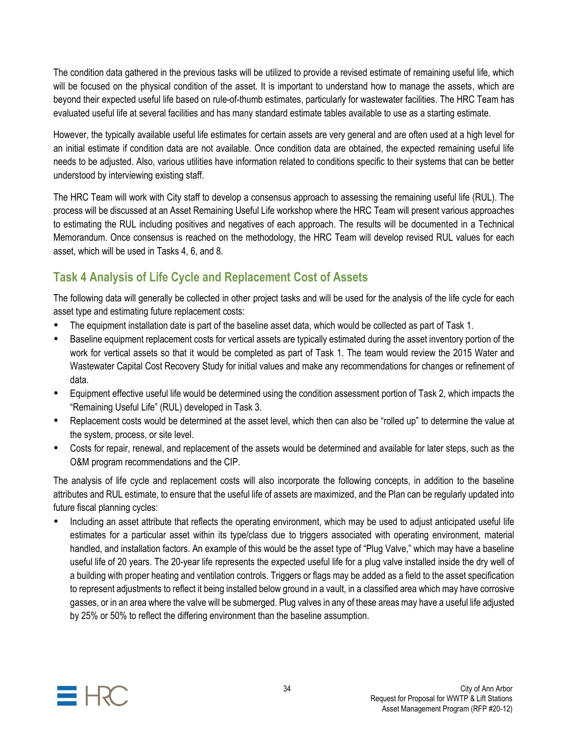The condition data gathered in the previous tasks will be utilized to provide a revised estimate of remaining useful life, which will be focused on the physical condition of the asset. It is important to understand how to manage the assets, which are beyond their expected useful life based on rule-of-thumb estimates, particularly for wastewater facilities. The HRC Team has evaluated useful life at several facilities and has many standard estimate tables available to use as a starting estimate.

However, the typically available useful life estimates for certain assets are very general and are often used at a high level for an initial estimate if condition data are not available. Once condition data are obtained, the expected remaining useful life needs to be adjusted. Also, various utilities have information related to conditions specific to their systems that can be better understood by interviewing existing staff.

The HRC Team will work with City staff to develop a consensus approach to assessing the remaining useful life (RUL). The process will be discussed at an Asset Remaining Useful Life workshop where the HRC Team will present various approaches to estimating the RUL including positives and negatives of each approach. The results will be documented in a Technical Memorandum. Once consensus is reached on the methodology, the HRC Team will develop revised RUL values for each asset, which will be used in Tasks 4, 6, and 8.

# **Task 4 Analysis of Life Cycle and Replacement Cost of Assets**

The following data will generally be collected in other project tasks and will be used for the analysis of the life cycle for each asset type and estimating future replacement costs:

- The equipment installation date is part of the baseline asset data, which would be collected as part of Task 1.
- Baseline equipment replacement costs for vertical assets are typically estimated during the asset inventory portion of the work for vertical assets so that it would be completed as part of Task 1. The team would review the 2015 Water and Wastewater Capital Cost Recovery Study for initial values and make any recommendations for changes or refinement of data.
- Equipment effective useful life would be determined using the condition assessment portion of Task 2, which impacts the "Remaining Useful Life" (RUL) developed in Task 3.
- Replacement costs would be determined at the asset level, which then can also be "rolled up" to determine the value at the system, process, or site level.
- Costs for repair, renewal, and replacement of the assets would be determined and available for later steps, such as the O&M program recommendations and the CIP.

The analysis of life cycle and replacement costs will also incorporate the following concepts, in addition to the baseline attributes and RUL estimate, to ensure that the useful life of assets are maximized, and the Plan can be regularly updated into future fiscal planning cycles:

 Including an asset attribute that reflects the operating environment, which may be used to adjust anticipated useful life estimates for a particular asset within its type/class due to triggers associated with operating environment, material handled, and installation factors. An example of this would be the asset type of "Plug Valve," which may have a baseline useful life of 20 years. The 20-year life represents the expected useful life for a plug valve installed inside the dry well of a building with proper heating and ventilation controls. Triggers or flags may be added as a field to the asset specification to represent adjustments to reflect it being installed below ground in a vault, in a classified area which may have corrosive gasses, or in an area where the valve will be submerged. Plug valves in any of these areas may have a useful life adjusted by 25% or 50% to reflect the differing environment than the baseline assumption.

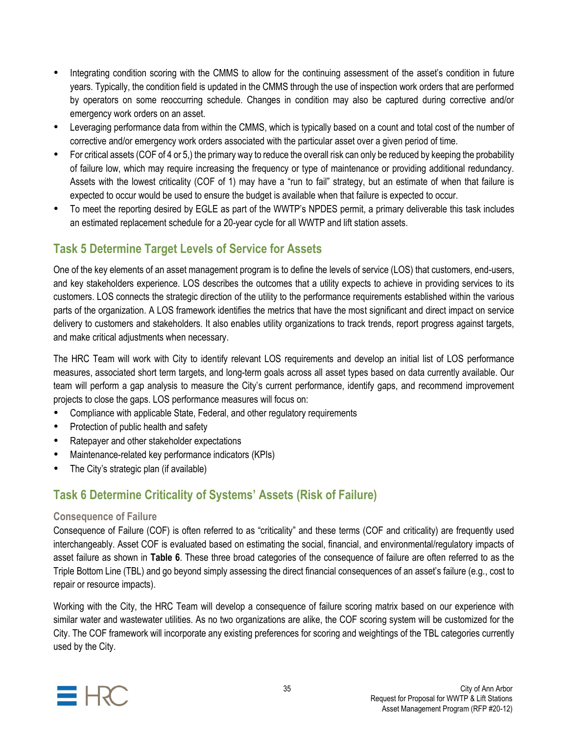- Integrating condition scoring with the CMMS to allow for the continuing assessment of the asset's condition in future years. Typically, the condition field is updated in the CMMS through the use of inspection work orders that are performed by operators on some reoccurring schedule. Changes in condition may also be captured during corrective and/or emergency work orders on an asset.
- Leveraging performance data from within the CMMS, which is typically based on a count and total cost of the number of corrective and/or emergency work orders associated with the particular asset over a given period of time.
- For critical assets (COF of 4 or 5,) the primary way to reduce the overall risk can only be reduced by keeping the probability of failure low, which may require increasing the frequency or type of maintenance or providing additional redundancy. Assets with the lowest criticality (COF of 1) may have a "run to fail" strategy, but an estimate of when that failure is expected to occur would be used to ensure the budget is available when that failure is expected to occur.
- To meet the reporting desired by EGLE as part of the WWTP's NPDES permit, a primary deliverable this task includes an estimated replacement schedule for a 20-year cycle for all WWTP and lift station assets.

## **Task 5 Determine Target Levels of Service for Assets**

One of the key elements of an asset management program is to define the levels of service (LOS) that customers, end-users, and key stakeholders experience. LOS describes the outcomes that a utility expects to achieve in providing services to its customers. LOS connects the strategic direction of the utility to the performance requirements established within the various parts of the organization. A LOS framework identifies the metrics that have the most significant and direct impact on service delivery to customers and stakeholders. It also enables utility organizations to track trends, report progress against targets, and make critical adjustments when necessary.

The HRC Team will work with City to identify relevant LOS requirements and develop an initial list of LOS performance measures, associated short term targets, and long-term goals across all asset types based on data currently available. Our team will perform a gap analysis to measure the City's current performance, identify gaps, and recommend improvement projects to close the gaps. LOS performance measures will focus on:

- Compliance with applicable State, Federal, and other regulatory requirements
- Protection of public health and safety
- Ratepayer and other stakeholder expectations
- Maintenance-related key performance indicators (KPIs)
- The City's strategic plan (if available)

# **Task 6 Determine Criticality of Systems' Assets (Risk of Failure)**

### **Consequence of Failure**

Consequence of Failure (COF) is often referred to as "criticality" and these terms (COF and criticality) are frequently used interchangeably. Asset COF is evaluated based on estimating the social, financial, and environmental/regulatory impacts of asset failure as shown in **Table 6**. These three broad categories of the consequence of failure are often referred to as the Triple Bottom Line (TBL) and go beyond simply assessing the direct financial consequences of an asset's failure (e.g., cost to repair or resource impacts).

Working with the City, the HRC Team will develop a consequence of failure scoring matrix based on our experience with similar water and wastewater utilities. As no two organizations are alike, the COF scoring system will be customized for the City. The COF framework will incorporate any existing preferences for scoring and weightings of the TBL categories currently used by the City.

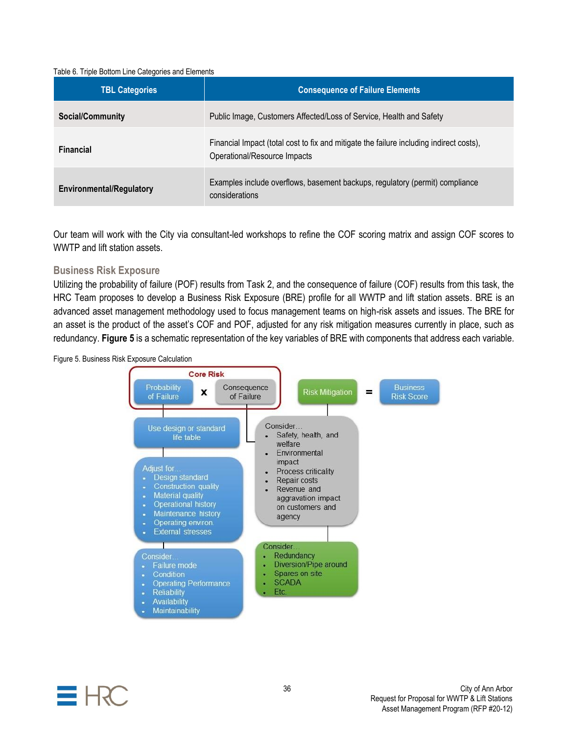#### Table 6. Triple Bottom Line Categories and Elements

| <b>TBL Categories</b>           | <b>Consequence of Failure Elements</b>                                                                                  |
|---------------------------------|-------------------------------------------------------------------------------------------------------------------------|
| Social/Community                | Public Image, Customers Affected/Loss of Service, Health and Safety                                                     |
| <b>Financial</b>                | Financial Impact (total cost to fix and mitigate the failure including indirect costs),<br>Operational/Resource Impacts |
| <b>Environmental/Regulatory</b> | Examples include overflows, basement backups, regulatory (permit) compliance<br>considerations                          |

Our team will work with the City via consultant-led workshops to refine the COF scoring matrix and assign COF scores to WWTP and lift station assets.

### **Business Risk Exposure**

Utilizing the probability of failure (POF) results from Task 2, and the consequence of failure (COF) results from this task, the HRC Team proposes to develop a Business Risk Exposure (BRE) profile for all WWTP and lift station assets. BRE is an advanced asset management methodology used to focus management teams on high-risk assets and issues. The BRE for an asset is the product of the asset's COF and POF, adjusted for any risk mitigation measures currently in place, such as redundancy. **Figure 5** is a schematic representation of the key variables of BRE with components that address each variable.





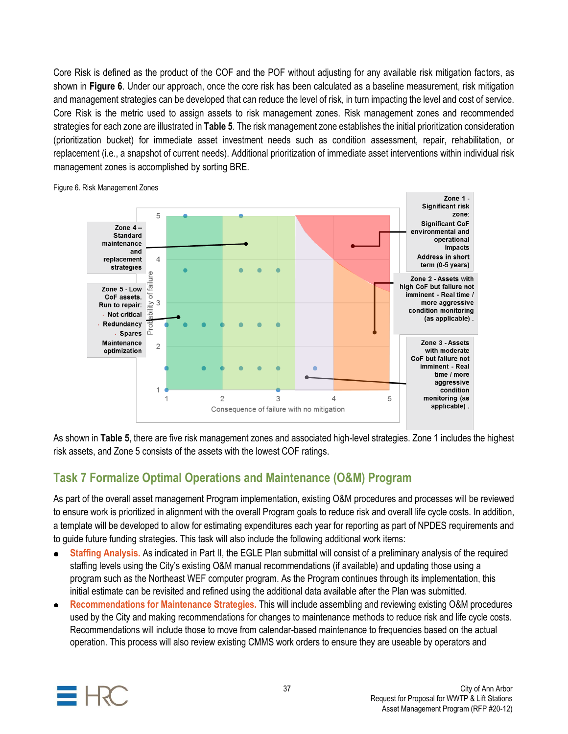Core Risk is defined as the product of the COF and the POF without adjusting for any available risk mitigation factors, as shown in **Figure 6**. Under our approach, once the core risk has been calculated as a baseline measurement, risk mitigation and management strategies can be developed that can reduce the level of risk, in turn impacting the level and cost of service. Core Risk is the metric used to assign assets to risk management zones. Risk management zones and recommended strategies for each zone are illustrated in **Table 5**. The risk management zone establishes the initial prioritization consideration (prioritization bucket) for immediate asset investment needs such as condition assessment, repair, rehabilitation, or replacement (i.e., a snapshot of current needs). Additional prioritization of immediate asset interventions within individual risk management zones is accomplished by sorting BRE.



Figure 6. Risk Management Zones

As shown in **Table 5**, there are five risk management zones and associated high-level strategies. Zone 1 includes the highest risk assets, and Zone 5 consists of the assets with the lowest COF ratings.

# **Task 7 Formalize Optimal Operations and Maintenance (O&M) Program**

As part of the overall asset management Program implementation, existing O&M procedures and processes will be reviewed to ensure work is prioritized in alignment with the overall Program goals to reduce risk and overall life cycle costs. In addition, a template will be developed to allow for estimating expenditures each year for reporting as part of NPDES requirements and to guide future funding strategies. This task will also include the following additional work items:

- **Staffing Analysis.** As indicated in Part II, the EGLE Plan submittal will consist of a preliminary analysis of the required staffing levels using the City's existing O&M manual recommendations (if available) and updating those using a program such as the Northeast WEF computer program. As the Program continues through its implementation, this initial estimate can be revisited and refined using the additional data available after the Plan was submitted.
- **Recommendations for Maintenance Strategies.** This will include assembling and reviewing existing O&M procedures used by the City and making recommendations for changes to maintenance methods to reduce risk and life cycle costs. Recommendations will include those to move from calendar-based maintenance to frequencies based on the actual operation. This process will also review existing CMMS work orders to ensure they are useable by operators and

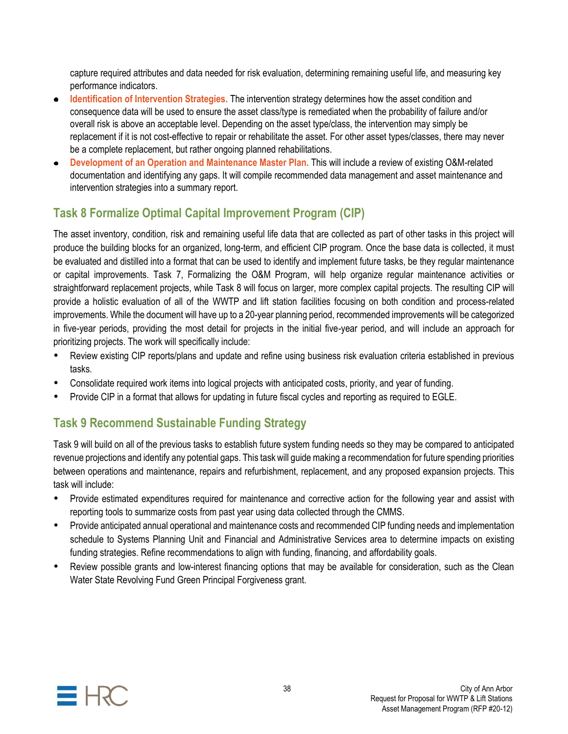capture required attributes and data needed for risk evaluation, determining remaining useful life, and measuring key performance indicators.

- **Identification of Intervention Strategies.** The intervention strategy determines how the asset condition and consequence data will be used to ensure the asset class/type is remediated when the probability of failure and/or overall risk is above an acceptable level. Depending on the asset type/class, the intervention may simply be replacement if it is not cost-effective to repair or rehabilitate the asset. For other asset types/classes, there may never be a complete replacement, but rather ongoing planned rehabilitations.
- **Development of an Operation and Maintenance Master Plan.** This will include a review of existing O&M-related documentation and identifying any gaps. It will compile recommended data management and asset maintenance and intervention strategies into a summary report.

# **Task 8 Formalize Optimal Capital Improvement Program (CIP)**

The asset inventory, condition, risk and remaining useful life data that are collected as part of other tasks in this project will produce the building blocks for an organized, long-term, and efficient CIP program. Once the base data is collected, it must be evaluated and distilled into a format that can be used to identify and implement future tasks, be they regular maintenance or capital improvements. Task 7, Formalizing the O&M Program, will help organize regular maintenance activities or straightforward replacement projects, while Task 8 will focus on larger, more complex capital projects. The resulting CIP will provide a holistic evaluation of all of the WWTP and lift station facilities focusing on both condition and process-related improvements. While the document will have up to a 20-year planning period, recommended improvements will be categorized in five-year periods, providing the most detail for projects in the initial five-year period, and will include an approach for prioritizing projects. The work will specifically include:

- Review existing CIP reports/plans and update and refine using business risk evaluation criteria established in previous tasks.
- Consolidate required work items into logical projects with anticipated costs, priority, and year of funding.
- Provide CIP in a format that allows for updating in future fiscal cycles and reporting as required to EGLE.

# **Task 9 Recommend Sustainable Funding Strategy**

Task 9 will build on all of the previous tasks to establish future system funding needs so they may be compared to anticipated revenue projections and identify any potential gaps. This task will guide making a recommendation for future spending priorities between operations and maintenance, repairs and refurbishment, replacement, and any proposed expansion projects. This task will include:

- Provide estimated expenditures required for maintenance and corrective action for the following year and assist with reporting tools to summarize costs from past year using data collected through the CMMS.
- Provide anticipated annual operational and maintenance costs and recommended CIP funding needs and implementation schedule to Systems Planning Unit and Financial and Administrative Services area to determine impacts on existing funding strategies. Refine recommendations to align with funding, financing, and affordability goals.
- Review possible grants and low-interest financing options that may be available for consideration, such as the Clean Water State Revolving Fund Green Principal Forgiveness grant.

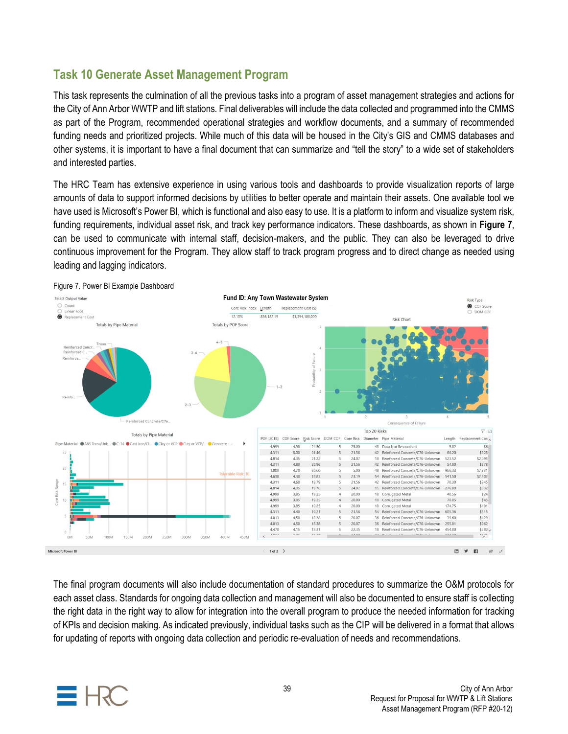## **Task 10 Generate Asset Management Program**

This task represents the culmination of all the previous tasks into a program of asset management strategies and actions for the City of Ann Arbor WWTP and lift stations. Final deliverables will include the data collected and programmed into the CMMS as part of the Program, recommended operational strategies and workflow documents, and a summary of recommended funding needs and prioritized projects. While much of this data will be housed in the City's GIS and CMMS databases and other systems, it is important to have a final document that can summarize and "tell the story" to a wide set of stakeholders and interested parties.

The HRC Team has extensive experience in using various tools and dashboards to provide visualization reports of large amounts of data to support informed decisions by utilities to better operate and maintain their assets. One available tool we have used is Microsoft's Power BI, which is functional and also easy to use. It is a platform to inform and visualize system risk, funding requirements, individual asset risk, and track key performance indicators. These dashboards, as shown in **Figure 7**, can be used to communicate with internal staff, decision-makers, and the public. They can also be leveraged to drive continuous improvement for the Program. They allow staff to track program progress and to direct change as needed using leading and lagging indicators.



The final program documents will also include documentation of standard procedures to summarize the O&M protocols for each asset class. Standards for ongoing data collection and management will also be documented to ensure staff is collecting the right data in the right way to allow for integration into the overall program to produce the needed information for tracking of KPIs and decision making. As indicated previously, individual tasks such as the CIP will be delivered in a format that allows for updating of reports with ongoing data collection and periodic re-evaluation of needs and recommendations.

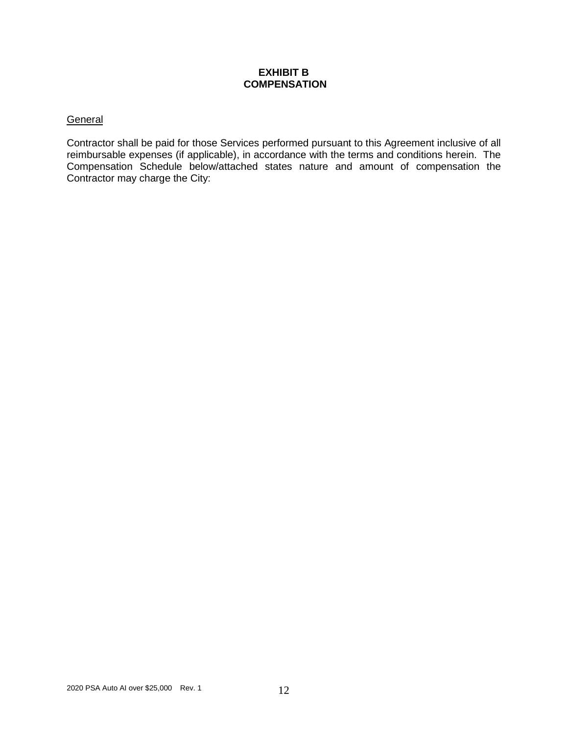### **EXHIBIT B COMPENSATION**

### **General**

Contractor shall be paid for those Services performed pursuant to this Agreement inclusive of all reimbursable expenses (if applicable), in accordance with the terms and conditions herein. The Compensation Schedule below/attached states nature and amount of compensation the Contractor may charge the City: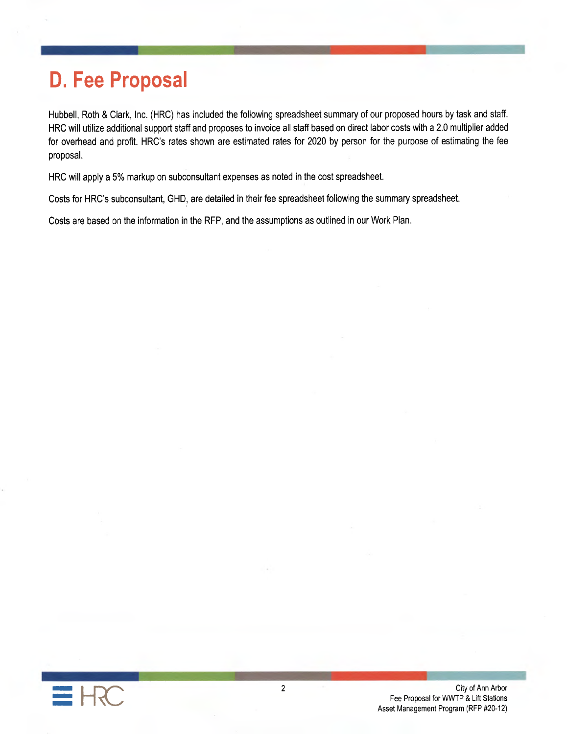# **D. Fee Proposal**

Hubbell, Roth & Clark, Inc. (HRC) has included the following spreadsheet summary of our proposed hours by task and staff. HRC will utilize additional support staff and proposes to invoice all staff based on direct labor costs with a 2.0 multiplier added for overhead and profit. HRC's rates shown are estimated rates for 2020 by person for the purpose of estimating the fee proposal.

HRC will apply a 5% markup on subconsultant expenses as noted in the cost spreadsheet.

Costs for HRC's subconsultant, GHD, are detailed in their fee spreadsheet following the summary spreadsheet.

Costs are based on the information in the RFP, and the assumptions as outlined in our Work Plan.

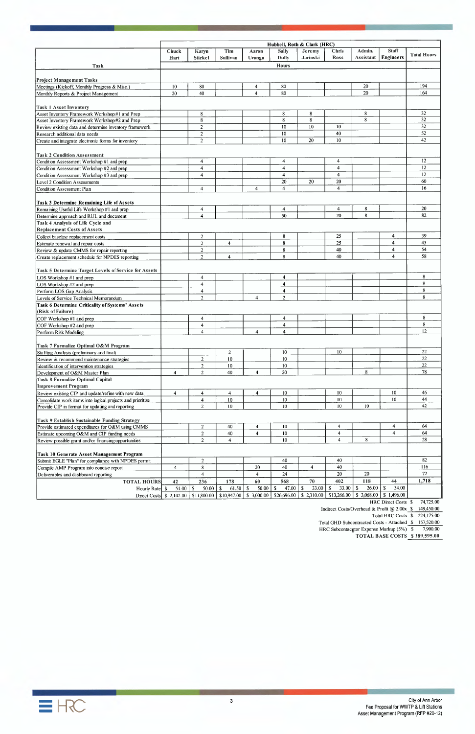| <b>Staff</b><br>Admin.<br>Tim<br><b>Sally</b><br>Chris<br><b>Chuck</b><br>Karyn<br>Aaron<br><b>Jeremy</b><br><b>Total Hours</b><br><b>Engineers</b><br>Jarinski<br><b>Ross</b><br>Sullivan<br><b>Duffy</b><br>Assistant<br>Hart<br><b>Stickel</b><br>Uranga<br><b>Hours</b><br>Task<br>Project Management Tasks<br>194<br>20<br>80<br>10<br>80<br>Meetings (Kickoff, Monthly Progress & Misc.)<br>$\overline{4}$<br>20<br>164<br>80<br>20<br>40<br>$\overline{\mathbf{4}}$<br>Monthly Reports & Project Management<br>8<br>32<br>8<br>8<br>8<br>8<br>32<br>8<br>8<br>8<br>32<br>$\overline{2}$<br>10<br>10<br>10<br>Review existing data and determine inventory framework<br>52<br>40<br>$\overline{2}$<br>10<br>Research additional data needs<br>42<br>$10\,$<br>20<br>$\overline{2}$<br>10<br>Create and integrate electronic forms for inventory<br><b>Task 2 Condition Assessment</b><br>12<br>4<br>4<br>Condition Assessment Workshop #1 and prep<br>4<br>12<br>$\overline{4}$<br>4<br>4<br>Condition Assessment Workshop #2 and prep<br>12<br>$\overline{4}$<br>4<br>4<br>Condition Assessment Workshop #3 and prep<br>60<br>20<br>20<br>20<br>16<br>$\overline{4}$<br>$\overline{4}$<br>4<br>4<br>20<br>8<br>4<br>$\overline{\mathbf{4}}$<br>Remaining Useful Life Workshop #1 and prep<br>4<br>8<br>82<br>50<br>20<br>$\overline{4}$<br>Determine approach and RUL and document<br>Task 4 Analysis of Life Cycle and<br><b>Replacement Costs of Assets</b><br>39<br>8<br>25<br>4<br>$\overline{2}$<br>Collect baseline replacement costs<br>43<br>25<br>4<br>8<br>$\overline{2}$<br>$\overline{4}$<br>Estimate renewal and repair costs<br>54<br>40<br>$\overline{2}$<br>$\bf 8$<br>4<br>Review & update CMMS for repair reporting<br>58<br>8<br>40<br>4<br>$\overline{2}$<br>$\overline{4}$<br>Create replacement schedule for NPDES reporting<br>8<br>4<br>4<br>8<br>$\overline{4}$<br>$\overline{4}$<br>8<br>4<br>4<br>Perform LOS Gap Analysis<br>8<br>$\boldsymbol{2}$<br>$\overline{2}$<br>4<br>Levels of Service Technical Memorandum<br>Task 6 Determine Criticality of Systems' Assets<br>(Risk of Failure)<br>8<br>COF Workshop #1 and prep<br>4<br>4<br>8<br>$\overline{4}$<br>4<br>COF Workshop #2 and prep<br>12<br>$\overline{4}$<br>$\overline{4}$<br>4<br>Perform Risk Modeling<br>Task 7 Formalize Optimal O&M Program<br>22<br>10<br>10<br>$\overline{c}$<br>22<br>10<br>10<br>$\boldsymbol{2}$<br>Review & recommend maintenance strategies<br>22<br>$\overline{2}$<br>10<br>10<br>Identification of intervention strategies<br>$78\,$<br>20<br>8<br>$\overline{2}$<br>40<br>$\overline{4}$<br>4<br>Development of O&M Master Plan<br><b>Task 8 Formalize Optimal Capital</b><br><b>Improvement Program</b><br>10<br>46<br>10<br>10<br>Review existing CIP and update/refine with new data<br>4<br>$\overline{4}$<br>4<br>4<br>10<br>44<br>10<br>10<br>$10\,$<br>Consolidate work items into logical projects and prioritize<br>$\overline{4}$<br>10<br>42<br>10<br>$10\,$<br>10<br>$\overline{2}$<br>Provide CIP in format for updating and reporting<br>$\overline{4}$<br>64<br>$\boldsymbol{2}$<br>40<br>$\overline{4}$<br>10 <sup>°</sup><br>$\overline{4}$<br>64<br>10<br>$\overline{4}$<br>$\overline{c}$<br>40<br>$\overline{4}$<br>$\overline{4}$<br>Estimate upcoming O&M and CIP funding needs<br>8<br>28<br>$\overline{2}$<br>10<br>$\overline{4}$<br>$\overline{4}$<br>Task 10 Generate Asset Management Program<br>82<br>40<br>Submit EGLE "Plan" for compliance with NPDES permit<br>$\overline{2}$<br>40<br>116<br>$\,8\,$<br>40<br>40<br>20<br>$\overline{4}$<br>Compile AMP Program into concise report<br>$\overline{4}$<br>$72\,$<br>20<br>20<br>24<br>$\overline{4}$<br>$\overline{4}$<br>Deliverables and dashboard reporting<br>402<br>44<br>70<br>118<br>1,718<br>236<br>178<br>60<br>568<br><b>TOTAL HOURS</b><br>42<br>$\sqrt{s}$<br>$\mathbb{S}$<br>$\mathbb{S}$<br>33.00<br>26.00<br>$\mathbb{S}$<br>$61.50$   \$<br>\$<br>47.00<br>$\mathbf{\$}$<br>33.00<br>34.00<br>Hourly Rate   \$<br>50.00<br>50.00<br>\$1,496.00<br>\$3,068.00<br>\$26,696.00<br>\$2,310.00<br>\$13,266.00<br>$\vert$ \$10,947.00 $\vert$ \$ 3,000.00<br>Direct Costs \ \ \$ 2,142.00 \ \ \$11,800.00 \<br>HRC Direct Costs \$ |                                                      |  |  | Hubbell, Roth & Clark (HRC) |  |           |
|---------------------------------------------------------------------------------------------------------------------------------------------------------------------------------------------------------------------------------------------------------------------------------------------------------------------------------------------------------------------------------------------------------------------------------------------------------------------------------------------------------------------------------------------------------------------------------------------------------------------------------------------------------------------------------------------------------------------------------------------------------------------------------------------------------------------------------------------------------------------------------------------------------------------------------------------------------------------------------------------------------------------------------------------------------------------------------------------------------------------------------------------------------------------------------------------------------------------------------------------------------------------------------------------------------------------------------------------------------------------------------------------------------------------------------------------------------------------------------------------------------------------------------------------------------------------------------------------------------------------------------------------------------------------------------------------------------------------------------------------------------------------------------------------------------------------------------------------------------------------------------------------------------------------------------------------------------------------------------------------------------------------------------------------------------------------------------------------------------------------------------------------------------------------------------------------------------------------------------------------------------------------------------------------------------------------------------------------------------------------------------------------------------------------------------------------------------------------------------------------------------------------------------------------------------------------------------------------------------------------------------------------------------------------------------------------------------------------------------------------------------------------------------------------------------------------------------------------------------------------------------------------------------------------------------------------------------------------------------------------------------------------------------------------------------------------------------------------------------------------------------------------------------------------------------------------------------------------------------------------------------------------------------------------------------------------------------------------------------------------------------------------------------------------------------------------------------------------------------------------------------------------------------------------------------------------------------------------------------------------------------------------------------------------------------------------------------------------------------------------------------------------------------------------------------------------------------------------------------------------------------------------------------------------------------------------------------------------------------------------------------------------------------------------------------------------------------------------------------------------------------------------------------------------------------------------------------------------------------------------------------------|------------------------------------------------------|--|--|-----------------------------|--|-----------|
|                                                                                                                                                                                                                                                                                                                                                                                                                                                                                                                                                                                                                                                                                                                                                                                                                                                                                                                                                                                                                                                                                                                                                                                                                                                                                                                                                                                                                                                                                                                                                                                                                                                                                                                                                                                                                                                                                                                                                                                                                                                                                                                                                                                                                                                                                                                                                                                                                                                                                                                                                                                                                                                                                                                                                                                                                                                                                                                                                                                                                                                                                                                                                                                                                                                                                                                                                                                                                                                                                                                                                                                                                                                                                                                                                                                                                                                                                                                                                                                                                                                                                                                                                                                                                                                               |                                                      |  |  |                             |  |           |
|                                                                                                                                                                                                                                                                                                                                                                                                                                                                                                                                                                                                                                                                                                                                                                                                                                                                                                                                                                                                                                                                                                                                                                                                                                                                                                                                                                                                                                                                                                                                                                                                                                                                                                                                                                                                                                                                                                                                                                                                                                                                                                                                                                                                                                                                                                                                                                                                                                                                                                                                                                                                                                                                                                                                                                                                                                                                                                                                                                                                                                                                                                                                                                                                                                                                                                                                                                                                                                                                                                                                                                                                                                                                                                                                                                                                                                                                                                                                                                                                                                                                                                                                                                                                                                                               |                                                      |  |  |                             |  |           |
|                                                                                                                                                                                                                                                                                                                                                                                                                                                                                                                                                                                                                                                                                                                                                                                                                                                                                                                                                                                                                                                                                                                                                                                                                                                                                                                                                                                                                                                                                                                                                                                                                                                                                                                                                                                                                                                                                                                                                                                                                                                                                                                                                                                                                                                                                                                                                                                                                                                                                                                                                                                                                                                                                                                                                                                                                                                                                                                                                                                                                                                                                                                                                                                                                                                                                                                                                                                                                                                                                                                                                                                                                                                                                                                                                                                                                                                                                                                                                                                                                                                                                                                                                                                                                                                               |                                                      |  |  |                             |  |           |
|                                                                                                                                                                                                                                                                                                                                                                                                                                                                                                                                                                                                                                                                                                                                                                                                                                                                                                                                                                                                                                                                                                                                                                                                                                                                                                                                                                                                                                                                                                                                                                                                                                                                                                                                                                                                                                                                                                                                                                                                                                                                                                                                                                                                                                                                                                                                                                                                                                                                                                                                                                                                                                                                                                                                                                                                                                                                                                                                                                                                                                                                                                                                                                                                                                                                                                                                                                                                                                                                                                                                                                                                                                                                                                                                                                                                                                                                                                                                                                                                                                                                                                                                                                                                                                                               |                                                      |  |  |                             |  |           |
|                                                                                                                                                                                                                                                                                                                                                                                                                                                                                                                                                                                                                                                                                                                                                                                                                                                                                                                                                                                                                                                                                                                                                                                                                                                                                                                                                                                                                                                                                                                                                                                                                                                                                                                                                                                                                                                                                                                                                                                                                                                                                                                                                                                                                                                                                                                                                                                                                                                                                                                                                                                                                                                                                                                                                                                                                                                                                                                                                                                                                                                                                                                                                                                                                                                                                                                                                                                                                                                                                                                                                                                                                                                                                                                                                                                                                                                                                                                                                                                                                                                                                                                                                                                                                                                               |                                                      |  |  |                             |  |           |
|                                                                                                                                                                                                                                                                                                                                                                                                                                                                                                                                                                                                                                                                                                                                                                                                                                                                                                                                                                                                                                                                                                                                                                                                                                                                                                                                                                                                                                                                                                                                                                                                                                                                                                                                                                                                                                                                                                                                                                                                                                                                                                                                                                                                                                                                                                                                                                                                                                                                                                                                                                                                                                                                                                                                                                                                                                                                                                                                                                                                                                                                                                                                                                                                                                                                                                                                                                                                                                                                                                                                                                                                                                                                                                                                                                                                                                                                                                                                                                                                                                                                                                                                                                                                                                                               |                                                      |  |  |                             |  |           |
|                                                                                                                                                                                                                                                                                                                                                                                                                                                                                                                                                                                                                                                                                                                                                                                                                                                                                                                                                                                                                                                                                                                                                                                                                                                                                                                                                                                                                                                                                                                                                                                                                                                                                                                                                                                                                                                                                                                                                                                                                                                                                                                                                                                                                                                                                                                                                                                                                                                                                                                                                                                                                                                                                                                                                                                                                                                                                                                                                                                                                                                                                                                                                                                                                                                                                                                                                                                                                                                                                                                                                                                                                                                                                                                                                                                                                                                                                                                                                                                                                                                                                                                                                                                                                                                               |                                                      |  |  |                             |  |           |
|                                                                                                                                                                                                                                                                                                                                                                                                                                                                                                                                                                                                                                                                                                                                                                                                                                                                                                                                                                                                                                                                                                                                                                                                                                                                                                                                                                                                                                                                                                                                                                                                                                                                                                                                                                                                                                                                                                                                                                                                                                                                                                                                                                                                                                                                                                                                                                                                                                                                                                                                                                                                                                                                                                                                                                                                                                                                                                                                                                                                                                                                                                                                                                                                                                                                                                                                                                                                                                                                                                                                                                                                                                                                                                                                                                                                                                                                                                                                                                                                                                                                                                                                                                                                                                                               | <b>Task 1 Asset Inventory</b>                        |  |  |                             |  |           |
|                                                                                                                                                                                                                                                                                                                                                                                                                                                                                                                                                                                                                                                                                                                                                                                                                                                                                                                                                                                                                                                                                                                                                                                                                                                                                                                                                                                                                                                                                                                                                                                                                                                                                                                                                                                                                                                                                                                                                                                                                                                                                                                                                                                                                                                                                                                                                                                                                                                                                                                                                                                                                                                                                                                                                                                                                                                                                                                                                                                                                                                                                                                                                                                                                                                                                                                                                                                                                                                                                                                                                                                                                                                                                                                                                                                                                                                                                                                                                                                                                                                                                                                                                                                                                                                               | Asset Inventory Framework Workshop #1 and Prep       |  |  |                             |  |           |
|                                                                                                                                                                                                                                                                                                                                                                                                                                                                                                                                                                                                                                                                                                                                                                                                                                                                                                                                                                                                                                                                                                                                                                                                                                                                                                                                                                                                                                                                                                                                                                                                                                                                                                                                                                                                                                                                                                                                                                                                                                                                                                                                                                                                                                                                                                                                                                                                                                                                                                                                                                                                                                                                                                                                                                                                                                                                                                                                                                                                                                                                                                                                                                                                                                                                                                                                                                                                                                                                                                                                                                                                                                                                                                                                                                                                                                                                                                                                                                                                                                                                                                                                                                                                                                                               | Asset Inventory Framework Workshop #2 and Prep       |  |  |                             |  |           |
|                                                                                                                                                                                                                                                                                                                                                                                                                                                                                                                                                                                                                                                                                                                                                                                                                                                                                                                                                                                                                                                                                                                                                                                                                                                                                                                                                                                                                                                                                                                                                                                                                                                                                                                                                                                                                                                                                                                                                                                                                                                                                                                                                                                                                                                                                                                                                                                                                                                                                                                                                                                                                                                                                                                                                                                                                                                                                                                                                                                                                                                                                                                                                                                                                                                                                                                                                                                                                                                                                                                                                                                                                                                                                                                                                                                                                                                                                                                                                                                                                                                                                                                                                                                                                                                               |                                                      |  |  |                             |  |           |
|                                                                                                                                                                                                                                                                                                                                                                                                                                                                                                                                                                                                                                                                                                                                                                                                                                                                                                                                                                                                                                                                                                                                                                                                                                                                                                                                                                                                                                                                                                                                                                                                                                                                                                                                                                                                                                                                                                                                                                                                                                                                                                                                                                                                                                                                                                                                                                                                                                                                                                                                                                                                                                                                                                                                                                                                                                                                                                                                                                                                                                                                                                                                                                                                                                                                                                                                                                                                                                                                                                                                                                                                                                                                                                                                                                                                                                                                                                                                                                                                                                                                                                                                                                                                                                                               |                                                      |  |  |                             |  |           |
|                                                                                                                                                                                                                                                                                                                                                                                                                                                                                                                                                                                                                                                                                                                                                                                                                                                                                                                                                                                                                                                                                                                                                                                                                                                                                                                                                                                                                                                                                                                                                                                                                                                                                                                                                                                                                                                                                                                                                                                                                                                                                                                                                                                                                                                                                                                                                                                                                                                                                                                                                                                                                                                                                                                                                                                                                                                                                                                                                                                                                                                                                                                                                                                                                                                                                                                                                                                                                                                                                                                                                                                                                                                                                                                                                                                                                                                                                                                                                                                                                                                                                                                                                                                                                                                               |                                                      |  |  |                             |  |           |
|                                                                                                                                                                                                                                                                                                                                                                                                                                                                                                                                                                                                                                                                                                                                                                                                                                                                                                                                                                                                                                                                                                                                                                                                                                                                                                                                                                                                                                                                                                                                                                                                                                                                                                                                                                                                                                                                                                                                                                                                                                                                                                                                                                                                                                                                                                                                                                                                                                                                                                                                                                                                                                                                                                                                                                                                                                                                                                                                                                                                                                                                                                                                                                                                                                                                                                                                                                                                                                                                                                                                                                                                                                                                                                                                                                                                                                                                                                                                                                                                                                                                                                                                                                                                                                                               |                                                      |  |  |                             |  |           |
|                                                                                                                                                                                                                                                                                                                                                                                                                                                                                                                                                                                                                                                                                                                                                                                                                                                                                                                                                                                                                                                                                                                                                                                                                                                                                                                                                                                                                                                                                                                                                                                                                                                                                                                                                                                                                                                                                                                                                                                                                                                                                                                                                                                                                                                                                                                                                                                                                                                                                                                                                                                                                                                                                                                                                                                                                                                                                                                                                                                                                                                                                                                                                                                                                                                                                                                                                                                                                                                                                                                                                                                                                                                                                                                                                                                                                                                                                                                                                                                                                                                                                                                                                                                                                                                               |                                                      |  |  |                             |  |           |
|                                                                                                                                                                                                                                                                                                                                                                                                                                                                                                                                                                                                                                                                                                                                                                                                                                                                                                                                                                                                                                                                                                                                                                                                                                                                                                                                                                                                                                                                                                                                                                                                                                                                                                                                                                                                                                                                                                                                                                                                                                                                                                                                                                                                                                                                                                                                                                                                                                                                                                                                                                                                                                                                                                                                                                                                                                                                                                                                                                                                                                                                                                                                                                                                                                                                                                                                                                                                                                                                                                                                                                                                                                                                                                                                                                                                                                                                                                                                                                                                                                                                                                                                                                                                                                                               |                                                      |  |  |                             |  |           |
|                                                                                                                                                                                                                                                                                                                                                                                                                                                                                                                                                                                                                                                                                                                                                                                                                                                                                                                                                                                                                                                                                                                                                                                                                                                                                                                                                                                                                                                                                                                                                                                                                                                                                                                                                                                                                                                                                                                                                                                                                                                                                                                                                                                                                                                                                                                                                                                                                                                                                                                                                                                                                                                                                                                                                                                                                                                                                                                                                                                                                                                                                                                                                                                                                                                                                                                                                                                                                                                                                                                                                                                                                                                                                                                                                                                                                                                                                                                                                                                                                                                                                                                                                                                                                                                               |                                                      |  |  |                             |  |           |
|                                                                                                                                                                                                                                                                                                                                                                                                                                                                                                                                                                                                                                                                                                                                                                                                                                                                                                                                                                                                                                                                                                                                                                                                                                                                                                                                                                                                                                                                                                                                                                                                                                                                                                                                                                                                                                                                                                                                                                                                                                                                                                                                                                                                                                                                                                                                                                                                                                                                                                                                                                                                                                                                                                                                                                                                                                                                                                                                                                                                                                                                                                                                                                                                                                                                                                                                                                                                                                                                                                                                                                                                                                                                                                                                                                                                                                                                                                                                                                                                                                                                                                                                                                                                                                                               | Level 2 Condition Assessments                        |  |  |                             |  |           |
|                                                                                                                                                                                                                                                                                                                                                                                                                                                                                                                                                                                                                                                                                                                                                                                                                                                                                                                                                                                                                                                                                                                                                                                                                                                                                                                                                                                                                                                                                                                                                                                                                                                                                                                                                                                                                                                                                                                                                                                                                                                                                                                                                                                                                                                                                                                                                                                                                                                                                                                                                                                                                                                                                                                                                                                                                                                                                                                                                                                                                                                                                                                                                                                                                                                                                                                                                                                                                                                                                                                                                                                                                                                                                                                                                                                                                                                                                                                                                                                                                                                                                                                                                                                                                                                               | Condition Assessment Plan                            |  |  |                             |  |           |
|                                                                                                                                                                                                                                                                                                                                                                                                                                                                                                                                                                                                                                                                                                                                                                                                                                                                                                                                                                                                                                                                                                                                                                                                                                                                                                                                                                                                                                                                                                                                                                                                                                                                                                                                                                                                                                                                                                                                                                                                                                                                                                                                                                                                                                                                                                                                                                                                                                                                                                                                                                                                                                                                                                                                                                                                                                                                                                                                                                                                                                                                                                                                                                                                                                                                                                                                                                                                                                                                                                                                                                                                                                                                                                                                                                                                                                                                                                                                                                                                                                                                                                                                                                                                                                                               |                                                      |  |  |                             |  |           |
|                                                                                                                                                                                                                                                                                                                                                                                                                                                                                                                                                                                                                                                                                                                                                                                                                                                                                                                                                                                                                                                                                                                                                                                                                                                                                                                                                                                                                                                                                                                                                                                                                                                                                                                                                                                                                                                                                                                                                                                                                                                                                                                                                                                                                                                                                                                                                                                                                                                                                                                                                                                                                                                                                                                                                                                                                                                                                                                                                                                                                                                                                                                                                                                                                                                                                                                                                                                                                                                                                                                                                                                                                                                                                                                                                                                                                                                                                                                                                                                                                                                                                                                                                                                                                                                               | Task 3 Determine Remaining Life of Assets            |  |  |                             |  |           |
|                                                                                                                                                                                                                                                                                                                                                                                                                                                                                                                                                                                                                                                                                                                                                                                                                                                                                                                                                                                                                                                                                                                                                                                                                                                                                                                                                                                                                                                                                                                                                                                                                                                                                                                                                                                                                                                                                                                                                                                                                                                                                                                                                                                                                                                                                                                                                                                                                                                                                                                                                                                                                                                                                                                                                                                                                                                                                                                                                                                                                                                                                                                                                                                                                                                                                                                                                                                                                                                                                                                                                                                                                                                                                                                                                                                                                                                                                                                                                                                                                                                                                                                                                                                                                                                               |                                                      |  |  |                             |  |           |
|                                                                                                                                                                                                                                                                                                                                                                                                                                                                                                                                                                                                                                                                                                                                                                                                                                                                                                                                                                                                                                                                                                                                                                                                                                                                                                                                                                                                                                                                                                                                                                                                                                                                                                                                                                                                                                                                                                                                                                                                                                                                                                                                                                                                                                                                                                                                                                                                                                                                                                                                                                                                                                                                                                                                                                                                                                                                                                                                                                                                                                                                                                                                                                                                                                                                                                                                                                                                                                                                                                                                                                                                                                                                                                                                                                                                                                                                                                                                                                                                                                                                                                                                                                                                                                                               |                                                      |  |  |                             |  |           |
|                                                                                                                                                                                                                                                                                                                                                                                                                                                                                                                                                                                                                                                                                                                                                                                                                                                                                                                                                                                                                                                                                                                                                                                                                                                                                                                                                                                                                                                                                                                                                                                                                                                                                                                                                                                                                                                                                                                                                                                                                                                                                                                                                                                                                                                                                                                                                                                                                                                                                                                                                                                                                                                                                                                                                                                                                                                                                                                                                                                                                                                                                                                                                                                                                                                                                                                                                                                                                                                                                                                                                                                                                                                                                                                                                                                                                                                                                                                                                                                                                                                                                                                                                                                                                                                               |                                                      |  |  |                             |  |           |
|                                                                                                                                                                                                                                                                                                                                                                                                                                                                                                                                                                                                                                                                                                                                                                                                                                                                                                                                                                                                                                                                                                                                                                                                                                                                                                                                                                                                                                                                                                                                                                                                                                                                                                                                                                                                                                                                                                                                                                                                                                                                                                                                                                                                                                                                                                                                                                                                                                                                                                                                                                                                                                                                                                                                                                                                                                                                                                                                                                                                                                                                                                                                                                                                                                                                                                                                                                                                                                                                                                                                                                                                                                                                                                                                                                                                                                                                                                                                                                                                                                                                                                                                                                                                                                                               |                                                      |  |  |                             |  |           |
|                                                                                                                                                                                                                                                                                                                                                                                                                                                                                                                                                                                                                                                                                                                                                                                                                                                                                                                                                                                                                                                                                                                                                                                                                                                                                                                                                                                                                                                                                                                                                                                                                                                                                                                                                                                                                                                                                                                                                                                                                                                                                                                                                                                                                                                                                                                                                                                                                                                                                                                                                                                                                                                                                                                                                                                                                                                                                                                                                                                                                                                                                                                                                                                                                                                                                                                                                                                                                                                                                                                                                                                                                                                                                                                                                                                                                                                                                                                                                                                                                                                                                                                                                                                                                                                               |                                                      |  |  |                             |  |           |
|                                                                                                                                                                                                                                                                                                                                                                                                                                                                                                                                                                                                                                                                                                                                                                                                                                                                                                                                                                                                                                                                                                                                                                                                                                                                                                                                                                                                                                                                                                                                                                                                                                                                                                                                                                                                                                                                                                                                                                                                                                                                                                                                                                                                                                                                                                                                                                                                                                                                                                                                                                                                                                                                                                                                                                                                                                                                                                                                                                                                                                                                                                                                                                                                                                                                                                                                                                                                                                                                                                                                                                                                                                                                                                                                                                                                                                                                                                                                                                                                                                                                                                                                                                                                                                                               |                                                      |  |  |                             |  |           |
|                                                                                                                                                                                                                                                                                                                                                                                                                                                                                                                                                                                                                                                                                                                                                                                                                                                                                                                                                                                                                                                                                                                                                                                                                                                                                                                                                                                                                                                                                                                                                                                                                                                                                                                                                                                                                                                                                                                                                                                                                                                                                                                                                                                                                                                                                                                                                                                                                                                                                                                                                                                                                                                                                                                                                                                                                                                                                                                                                                                                                                                                                                                                                                                                                                                                                                                                                                                                                                                                                                                                                                                                                                                                                                                                                                                                                                                                                                                                                                                                                                                                                                                                                                                                                                                               |                                                      |  |  |                             |  |           |
|                                                                                                                                                                                                                                                                                                                                                                                                                                                                                                                                                                                                                                                                                                                                                                                                                                                                                                                                                                                                                                                                                                                                                                                                                                                                                                                                                                                                                                                                                                                                                                                                                                                                                                                                                                                                                                                                                                                                                                                                                                                                                                                                                                                                                                                                                                                                                                                                                                                                                                                                                                                                                                                                                                                                                                                                                                                                                                                                                                                                                                                                                                                                                                                                                                                                                                                                                                                                                                                                                                                                                                                                                                                                                                                                                                                                                                                                                                                                                                                                                                                                                                                                                                                                                                                               |                                                      |  |  |                             |  |           |
|                                                                                                                                                                                                                                                                                                                                                                                                                                                                                                                                                                                                                                                                                                                                                                                                                                                                                                                                                                                                                                                                                                                                                                                                                                                                                                                                                                                                                                                                                                                                                                                                                                                                                                                                                                                                                                                                                                                                                                                                                                                                                                                                                                                                                                                                                                                                                                                                                                                                                                                                                                                                                                                                                                                                                                                                                                                                                                                                                                                                                                                                                                                                                                                                                                                                                                                                                                                                                                                                                                                                                                                                                                                                                                                                                                                                                                                                                                                                                                                                                                                                                                                                                                                                                                                               | Task 5 Determine Target Levels of Service for Assets |  |  |                             |  |           |
|                                                                                                                                                                                                                                                                                                                                                                                                                                                                                                                                                                                                                                                                                                                                                                                                                                                                                                                                                                                                                                                                                                                                                                                                                                                                                                                                                                                                                                                                                                                                                                                                                                                                                                                                                                                                                                                                                                                                                                                                                                                                                                                                                                                                                                                                                                                                                                                                                                                                                                                                                                                                                                                                                                                                                                                                                                                                                                                                                                                                                                                                                                                                                                                                                                                                                                                                                                                                                                                                                                                                                                                                                                                                                                                                                                                                                                                                                                                                                                                                                                                                                                                                                                                                                                                               | LOS Workshop #1 and prep                             |  |  |                             |  |           |
|                                                                                                                                                                                                                                                                                                                                                                                                                                                                                                                                                                                                                                                                                                                                                                                                                                                                                                                                                                                                                                                                                                                                                                                                                                                                                                                                                                                                                                                                                                                                                                                                                                                                                                                                                                                                                                                                                                                                                                                                                                                                                                                                                                                                                                                                                                                                                                                                                                                                                                                                                                                                                                                                                                                                                                                                                                                                                                                                                                                                                                                                                                                                                                                                                                                                                                                                                                                                                                                                                                                                                                                                                                                                                                                                                                                                                                                                                                                                                                                                                                                                                                                                                                                                                                                               | LOS Workshop #2 and prep                             |  |  |                             |  |           |
|                                                                                                                                                                                                                                                                                                                                                                                                                                                                                                                                                                                                                                                                                                                                                                                                                                                                                                                                                                                                                                                                                                                                                                                                                                                                                                                                                                                                                                                                                                                                                                                                                                                                                                                                                                                                                                                                                                                                                                                                                                                                                                                                                                                                                                                                                                                                                                                                                                                                                                                                                                                                                                                                                                                                                                                                                                                                                                                                                                                                                                                                                                                                                                                                                                                                                                                                                                                                                                                                                                                                                                                                                                                                                                                                                                                                                                                                                                                                                                                                                                                                                                                                                                                                                                                               |                                                      |  |  |                             |  |           |
|                                                                                                                                                                                                                                                                                                                                                                                                                                                                                                                                                                                                                                                                                                                                                                                                                                                                                                                                                                                                                                                                                                                                                                                                                                                                                                                                                                                                                                                                                                                                                                                                                                                                                                                                                                                                                                                                                                                                                                                                                                                                                                                                                                                                                                                                                                                                                                                                                                                                                                                                                                                                                                                                                                                                                                                                                                                                                                                                                                                                                                                                                                                                                                                                                                                                                                                                                                                                                                                                                                                                                                                                                                                                                                                                                                                                                                                                                                                                                                                                                                                                                                                                                                                                                                                               |                                                      |  |  |                             |  |           |
|                                                                                                                                                                                                                                                                                                                                                                                                                                                                                                                                                                                                                                                                                                                                                                                                                                                                                                                                                                                                                                                                                                                                                                                                                                                                                                                                                                                                                                                                                                                                                                                                                                                                                                                                                                                                                                                                                                                                                                                                                                                                                                                                                                                                                                                                                                                                                                                                                                                                                                                                                                                                                                                                                                                                                                                                                                                                                                                                                                                                                                                                                                                                                                                                                                                                                                                                                                                                                                                                                                                                                                                                                                                                                                                                                                                                                                                                                                                                                                                                                                                                                                                                                                                                                                                               |                                                      |  |  |                             |  |           |
|                                                                                                                                                                                                                                                                                                                                                                                                                                                                                                                                                                                                                                                                                                                                                                                                                                                                                                                                                                                                                                                                                                                                                                                                                                                                                                                                                                                                                                                                                                                                                                                                                                                                                                                                                                                                                                                                                                                                                                                                                                                                                                                                                                                                                                                                                                                                                                                                                                                                                                                                                                                                                                                                                                                                                                                                                                                                                                                                                                                                                                                                                                                                                                                                                                                                                                                                                                                                                                                                                                                                                                                                                                                                                                                                                                                                                                                                                                                                                                                                                                                                                                                                                                                                                                                               |                                                      |  |  |                             |  |           |
|                                                                                                                                                                                                                                                                                                                                                                                                                                                                                                                                                                                                                                                                                                                                                                                                                                                                                                                                                                                                                                                                                                                                                                                                                                                                                                                                                                                                                                                                                                                                                                                                                                                                                                                                                                                                                                                                                                                                                                                                                                                                                                                                                                                                                                                                                                                                                                                                                                                                                                                                                                                                                                                                                                                                                                                                                                                                                                                                                                                                                                                                                                                                                                                                                                                                                                                                                                                                                                                                                                                                                                                                                                                                                                                                                                                                                                                                                                                                                                                                                                                                                                                                                                                                                                                               |                                                      |  |  |                             |  |           |
|                                                                                                                                                                                                                                                                                                                                                                                                                                                                                                                                                                                                                                                                                                                                                                                                                                                                                                                                                                                                                                                                                                                                                                                                                                                                                                                                                                                                                                                                                                                                                                                                                                                                                                                                                                                                                                                                                                                                                                                                                                                                                                                                                                                                                                                                                                                                                                                                                                                                                                                                                                                                                                                                                                                                                                                                                                                                                                                                                                                                                                                                                                                                                                                                                                                                                                                                                                                                                                                                                                                                                                                                                                                                                                                                                                                                                                                                                                                                                                                                                                                                                                                                                                                                                                                               |                                                      |  |  |                             |  |           |
|                                                                                                                                                                                                                                                                                                                                                                                                                                                                                                                                                                                                                                                                                                                                                                                                                                                                                                                                                                                                                                                                                                                                                                                                                                                                                                                                                                                                                                                                                                                                                                                                                                                                                                                                                                                                                                                                                                                                                                                                                                                                                                                                                                                                                                                                                                                                                                                                                                                                                                                                                                                                                                                                                                                                                                                                                                                                                                                                                                                                                                                                                                                                                                                                                                                                                                                                                                                                                                                                                                                                                                                                                                                                                                                                                                                                                                                                                                                                                                                                                                                                                                                                                                                                                                                               |                                                      |  |  |                             |  |           |
|                                                                                                                                                                                                                                                                                                                                                                                                                                                                                                                                                                                                                                                                                                                                                                                                                                                                                                                                                                                                                                                                                                                                                                                                                                                                                                                                                                                                                                                                                                                                                                                                                                                                                                                                                                                                                                                                                                                                                                                                                                                                                                                                                                                                                                                                                                                                                                                                                                                                                                                                                                                                                                                                                                                                                                                                                                                                                                                                                                                                                                                                                                                                                                                                                                                                                                                                                                                                                                                                                                                                                                                                                                                                                                                                                                                                                                                                                                                                                                                                                                                                                                                                                                                                                                                               |                                                      |  |  |                             |  |           |
|                                                                                                                                                                                                                                                                                                                                                                                                                                                                                                                                                                                                                                                                                                                                                                                                                                                                                                                                                                                                                                                                                                                                                                                                                                                                                                                                                                                                                                                                                                                                                                                                                                                                                                                                                                                                                                                                                                                                                                                                                                                                                                                                                                                                                                                                                                                                                                                                                                                                                                                                                                                                                                                                                                                                                                                                                                                                                                                                                                                                                                                                                                                                                                                                                                                                                                                                                                                                                                                                                                                                                                                                                                                                                                                                                                                                                                                                                                                                                                                                                                                                                                                                                                                                                                                               | Staffing Analysis (preliminary and final)            |  |  |                             |  |           |
|                                                                                                                                                                                                                                                                                                                                                                                                                                                                                                                                                                                                                                                                                                                                                                                                                                                                                                                                                                                                                                                                                                                                                                                                                                                                                                                                                                                                                                                                                                                                                                                                                                                                                                                                                                                                                                                                                                                                                                                                                                                                                                                                                                                                                                                                                                                                                                                                                                                                                                                                                                                                                                                                                                                                                                                                                                                                                                                                                                                                                                                                                                                                                                                                                                                                                                                                                                                                                                                                                                                                                                                                                                                                                                                                                                                                                                                                                                                                                                                                                                                                                                                                                                                                                                                               |                                                      |  |  |                             |  |           |
|                                                                                                                                                                                                                                                                                                                                                                                                                                                                                                                                                                                                                                                                                                                                                                                                                                                                                                                                                                                                                                                                                                                                                                                                                                                                                                                                                                                                                                                                                                                                                                                                                                                                                                                                                                                                                                                                                                                                                                                                                                                                                                                                                                                                                                                                                                                                                                                                                                                                                                                                                                                                                                                                                                                                                                                                                                                                                                                                                                                                                                                                                                                                                                                                                                                                                                                                                                                                                                                                                                                                                                                                                                                                                                                                                                                                                                                                                                                                                                                                                                                                                                                                                                                                                                                               |                                                      |  |  |                             |  |           |
|                                                                                                                                                                                                                                                                                                                                                                                                                                                                                                                                                                                                                                                                                                                                                                                                                                                                                                                                                                                                                                                                                                                                                                                                                                                                                                                                                                                                                                                                                                                                                                                                                                                                                                                                                                                                                                                                                                                                                                                                                                                                                                                                                                                                                                                                                                                                                                                                                                                                                                                                                                                                                                                                                                                                                                                                                                                                                                                                                                                                                                                                                                                                                                                                                                                                                                                                                                                                                                                                                                                                                                                                                                                                                                                                                                                                                                                                                                                                                                                                                                                                                                                                                                                                                                                               |                                                      |  |  |                             |  |           |
|                                                                                                                                                                                                                                                                                                                                                                                                                                                                                                                                                                                                                                                                                                                                                                                                                                                                                                                                                                                                                                                                                                                                                                                                                                                                                                                                                                                                                                                                                                                                                                                                                                                                                                                                                                                                                                                                                                                                                                                                                                                                                                                                                                                                                                                                                                                                                                                                                                                                                                                                                                                                                                                                                                                                                                                                                                                                                                                                                                                                                                                                                                                                                                                                                                                                                                                                                                                                                                                                                                                                                                                                                                                                                                                                                                                                                                                                                                                                                                                                                                                                                                                                                                                                                                                               |                                                      |  |  |                             |  |           |
|                                                                                                                                                                                                                                                                                                                                                                                                                                                                                                                                                                                                                                                                                                                                                                                                                                                                                                                                                                                                                                                                                                                                                                                                                                                                                                                                                                                                                                                                                                                                                                                                                                                                                                                                                                                                                                                                                                                                                                                                                                                                                                                                                                                                                                                                                                                                                                                                                                                                                                                                                                                                                                                                                                                                                                                                                                                                                                                                                                                                                                                                                                                                                                                                                                                                                                                                                                                                                                                                                                                                                                                                                                                                                                                                                                                                                                                                                                                                                                                                                                                                                                                                                                                                                                                               |                                                      |  |  |                             |  |           |
|                                                                                                                                                                                                                                                                                                                                                                                                                                                                                                                                                                                                                                                                                                                                                                                                                                                                                                                                                                                                                                                                                                                                                                                                                                                                                                                                                                                                                                                                                                                                                                                                                                                                                                                                                                                                                                                                                                                                                                                                                                                                                                                                                                                                                                                                                                                                                                                                                                                                                                                                                                                                                                                                                                                                                                                                                                                                                                                                                                                                                                                                                                                                                                                                                                                                                                                                                                                                                                                                                                                                                                                                                                                                                                                                                                                                                                                                                                                                                                                                                                                                                                                                                                                                                                                               |                                                      |  |  |                             |  |           |
|                                                                                                                                                                                                                                                                                                                                                                                                                                                                                                                                                                                                                                                                                                                                                                                                                                                                                                                                                                                                                                                                                                                                                                                                                                                                                                                                                                                                                                                                                                                                                                                                                                                                                                                                                                                                                                                                                                                                                                                                                                                                                                                                                                                                                                                                                                                                                                                                                                                                                                                                                                                                                                                                                                                                                                                                                                                                                                                                                                                                                                                                                                                                                                                                                                                                                                                                                                                                                                                                                                                                                                                                                                                                                                                                                                                                                                                                                                                                                                                                                                                                                                                                                                                                                                                               |                                                      |  |  |                             |  |           |
|                                                                                                                                                                                                                                                                                                                                                                                                                                                                                                                                                                                                                                                                                                                                                                                                                                                                                                                                                                                                                                                                                                                                                                                                                                                                                                                                                                                                                                                                                                                                                                                                                                                                                                                                                                                                                                                                                                                                                                                                                                                                                                                                                                                                                                                                                                                                                                                                                                                                                                                                                                                                                                                                                                                                                                                                                                                                                                                                                                                                                                                                                                                                                                                                                                                                                                                                                                                                                                                                                                                                                                                                                                                                                                                                                                                                                                                                                                                                                                                                                                                                                                                                                                                                                                                               |                                                      |  |  |                             |  |           |
|                                                                                                                                                                                                                                                                                                                                                                                                                                                                                                                                                                                                                                                                                                                                                                                                                                                                                                                                                                                                                                                                                                                                                                                                                                                                                                                                                                                                                                                                                                                                                                                                                                                                                                                                                                                                                                                                                                                                                                                                                                                                                                                                                                                                                                                                                                                                                                                                                                                                                                                                                                                                                                                                                                                                                                                                                                                                                                                                                                                                                                                                                                                                                                                                                                                                                                                                                                                                                                                                                                                                                                                                                                                                                                                                                                                                                                                                                                                                                                                                                                                                                                                                                                                                                                                               | Task 9 Establish Sustainable Funding Strategy        |  |  |                             |  |           |
|                                                                                                                                                                                                                                                                                                                                                                                                                                                                                                                                                                                                                                                                                                                                                                                                                                                                                                                                                                                                                                                                                                                                                                                                                                                                                                                                                                                                                                                                                                                                                                                                                                                                                                                                                                                                                                                                                                                                                                                                                                                                                                                                                                                                                                                                                                                                                                                                                                                                                                                                                                                                                                                                                                                                                                                                                                                                                                                                                                                                                                                                                                                                                                                                                                                                                                                                                                                                                                                                                                                                                                                                                                                                                                                                                                                                                                                                                                                                                                                                                                                                                                                                                                                                                                                               | Provide estimated expenditures for O&M using CMMS    |  |  |                             |  |           |
|                                                                                                                                                                                                                                                                                                                                                                                                                                                                                                                                                                                                                                                                                                                                                                                                                                                                                                                                                                                                                                                                                                                                                                                                                                                                                                                                                                                                                                                                                                                                                                                                                                                                                                                                                                                                                                                                                                                                                                                                                                                                                                                                                                                                                                                                                                                                                                                                                                                                                                                                                                                                                                                                                                                                                                                                                                                                                                                                                                                                                                                                                                                                                                                                                                                                                                                                                                                                                                                                                                                                                                                                                                                                                                                                                                                                                                                                                                                                                                                                                                                                                                                                                                                                                                                               |                                                      |  |  |                             |  |           |
|                                                                                                                                                                                                                                                                                                                                                                                                                                                                                                                                                                                                                                                                                                                                                                                                                                                                                                                                                                                                                                                                                                                                                                                                                                                                                                                                                                                                                                                                                                                                                                                                                                                                                                                                                                                                                                                                                                                                                                                                                                                                                                                                                                                                                                                                                                                                                                                                                                                                                                                                                                                                                                                                                                                                                                                                                                                                                                                                                                                                                                                                                                                                                                                                                                                                                                                                                                                                                                                                                                                                                                                                                                                                                                                                                                                                                                                                                                                                                                                                                                                                                                                                                                                                                                                               | Review possible grant and/or financing opportunities |  |  |                             |  |           |
|                                                                                                                                                                                                                                                                                                                                                                                                                                                                                                                                                                                                                                                                                                                                                                                                                                                                                                                                                                                                                                                                                                                                                                                                                                                                                                                                                                                                                                                                                                                                                                                                                                                                                                                                                                                                                                                                                                                                                                                                                                                                                                                                                                                                                                                                                                                                                                                                                                                                                                                                                                                                                                                                                                                                                                                                                                                                                                                                                                                                                                                                                                                                                                                                                                                                                                                                                                                                                                                                                                                                                                                                                                                                                                                                                                                                                                                                                                                                                                                                                                                                                                                                                                                                                                                               |                                                      |  |  |                             |  |           |
|                                                                                                                                                                                                                                                                                                                                                                                                                                                                                                                                                                                                                                                                                                                                                                                                                                                                                                                                                                                                                                                                                                                                                                                                                                                                                                                                                                                                                                                                                                                                                                                                                                                                                                                                                                                                                                                                                                                                                                                                                                                                                                                                                                                                                                                                                                                                                                                                                                                                                                                                                                                                                                                                                                                                                                                                                                                                                                                                                                                                                                                                                                                                                                                                                                                                                                                                                                                                                                                                                                                                                                                                                                                                                                                                                                                                                                                                                                                                                                                                                                                                                                                                                                                                                                                               |                                                      |  |  |                             |  |           |
|                                                                                                                                                                                                                                                                                                                                                                                                                                                                                                                                                                                                                                                                                                                                                                                                                                                                                                                                                                                                                                                                                                                                                                                                                                                                                                                                                                                                                                                                                                                                                                                                                                                                                                                                                                                                                                                                                                                                                                                                                                                                                                                                                                                                                                                                                                                                                                                                                                                                                                                                                                                                                                                                                                                                                                                                                                                                                                                                                                                                                                                                                                                                                                                                                                                                                                                                                                                                                                                                                                                                                                                                                                                                                                                                                                                                                                                                                                                                                                                                                                                                                                                                                                                                                                                               |                                                      |  |  |                             |  |           |
|                                                                                                                                                                                                                                                                                                                                                                                                                                                                                                                                                                                                                                                                                                                                                                                                                                                                                                                                                                                                                                                                                                                                                                                                                                                                                                                                                                                                                                                                                                                                                                                                                                                                                                                                                                                                                                                                                                                                                                                                                                                                                                                                                                                                                                                                                                                                                                                                                                                                                                                                                                                                                                                                                                                                                                                                                                                                                                                                                                                                                                                                                                                                                                                                                                                                                                                                                                                                                                                                                                                                                                                                                                                                                                                                                                                                                                                                                                                                                                                                                                                                                                                                                                                                                                                               |                                                      |  |  |                             |  |           |
|                                                                                                                                                                                                                                                                                                                                                                                                                                                                                                                                                                                                                                                                                                                                                                                                                                                                                                                                                                                                                                                                                                                                                                                                                                                                                                                                                                                                                                                                                                                                                                                                                                                                                                                                                                                                                                                                                                                                                                                                                                                                                                                                                                                                                                                                                                                                                                                                                                                                                                                                                                                                                                                                                                                                                                                                                                                                                                                                                                                                                                                                                                                                                                                                                                                                                                                                                                                                                                                                                                                                                                                                                                                                                                                                                                                                                                                                                                                                                                                                                                                                                                                                                                                                                                                               |                                                      |  |  |                             |  |           |
|                                                                                                                                                                                                                                                                                                                                                                                                                                                                                                                                                                                                                                                                                                                                                                                                                                                                                                                                                                                                                                                                                                                                                                                                                                                                                                                                                                                                                                                                                                                                                                                                                                                                                                                                                                                                                                                                                                                                                                                                                                                                                                                                                                                                                                                                                                                                                                                                                                                                                                                                                                                                                                                                                                                                                                                                                                                                                                                                                                                                                                                                                                                                                                                                                                                                                                                                                                                                                                                                                                                                                                                                                                                                                                                                                                                                                                                                                                                                                                                                                                                                                                                                                                                                                                                               |                                                      |  |  |                             |  |           |
|                                                                                                                                                                                                                                                                                                                                                                                                                                                                                                                                                                                                                                                                                                                                                                                                                                                                                                                                                                                                                                                                                                                                                                                                                                                                                                                                                                                                                                                                                                                                                                                                                                                                                                                                                                                                                                                                                                                                                                                                                                                                                                                                                                                                                                                                                                                                                                                                                                                                                                                                                                                                                                                                                                                                                                                                                                                                                                                                                                                                                                                                                                                                                                                                                                                                                                                                                                                                                                                                                                                                                                                                                                                                                                                                                                                                                                                                                                                                                                                                                                                                                                                                                                                                                                                               |                                                      |  |  |                             |  |           |
|                                                                                                                                                                                                                                                                                                                                                                                                                                                                                                                                                                                                                                                                                                                                                                                                                                                                                                                                                                                                                                                                                                                                                                                                                                                                                                                                                                                                                                                                                                                                                                                                                                                                                                                                                                                                                                                                                                                                                                                                                                                                                                                                                                                                                                                                                                                                                                                                                                                                                                                                                                                                                                                                                                                                                                                                                                                                                                                                                                                                                                                                                                                                                                                                                                                                                                                                                                                                                                                                                                                                                                                                                                                                                                                                                                                                                                                                                                                                                                                                                                                                                                                                                                                                                                                               |                                                      |  |  |                             |  | 74,725.00 |

Indirect Costs/Overhead & Profit @ 2.00x  $\frac{\$}{\$}$  149,450.00<br>Total HRC Costs  $\frac{\$}{\$}$  224,175.00

Total GHD Subcontracted Costs - Attached \$ 157,520.00<br>HRC Subcontacgtor Expense Markup (5%) \$ 7,900.00<br>TOTAL BASE COSTS \$ 389,595.00



 $\overline{\mathbf{3}}$ 

City of Ann Arbor<br>Fee Proposal for WWTP & Lift Stations<br>Asset Management Program (RFP #20-12)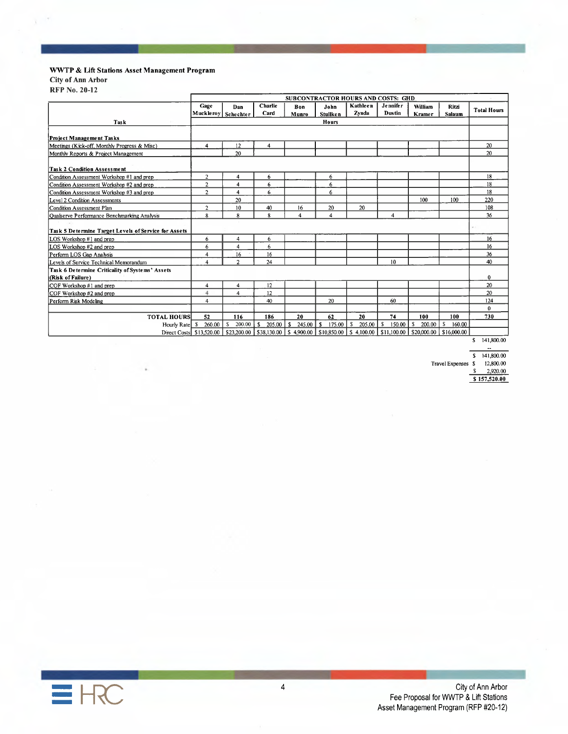#### WWTP & Lift Stations Asset Management Program

City of Ann Arbor

**RFP No. 20-12** 

 $\mathbf{r}$  .

| Task<br>Project Management Tasks<br>Meetings (Kick-off, Monthly Progress & Misc)<br>Monthly Reports & Project Management | Gage<br>4               | Dan<br>Muckleroy Schechter<br>12 | Charlie<br>Card         | Bon<br>Munro | John<br><b>Stullken</b><br><b>Hours</b> | Kathleen<br>Zynda                                                                              | <b>Jennifer</b><br><b>Dustin</b> | William<br><b>Kramer</b> | Ritzi<br>Salaum | <b>Total Hours</b> |
|--------------------------------------------------------------------------------------------------------------------------|-------------------------|----------------------------------|-------------------------|--------------|-----------------------------------------|------------------------------------------------------------------------------------------------|----------------------------------|--------------------------|-----------------|--------------------|
|                                                                                                                          |                         |                                  |                         |              |                                         |                                                                                                |                                  |                          |                 |                    |
|                                                                                                                          |                         |                                  |                         |              |                                         |                                                                                                |                                  |                          |                 |                    |
|                                                                                                                          |                         |                                  |                         |              |                                         |                                                                                                |                                  |                          |                 |                    |
|                                                                                                                          |                         |                                  |                         |              |                                         |                                                                                                |                                  |                          |                 |                    |
|                                                                                                                          |                         |                                  | $\overline{\mathbf{4}}$ |              |                                         |                                                                                                |                                  |                          |                 | 20                 |
|                                                                                                                          |                         | 20                               |                         |              |                                         |                                                                                                |                                  |                          |                 | 20                 |
| <b>Task 2 Condition Assessment</b>                                                                                       |                         |                                  |                         |              |                                         |                                                                                                |                                  |                          |                 |                    |
| Condition Assessment Workshop #1 and prep                                                                                | $\overline{2}$          | $\overline{\mathbf{4}}$          | 6                       |              | 6                                       |                                                                                                |                                  |                          |                 | 18                 |
| Condition Assessment Workshop #2 and prep                                                                                | $\overline{a}$          | 4                                | 6                       |              | 6                                       |                                                                                                |                                  |                          |                 | 18                 |
| Condition Assessment Workshop #3 and prep                                                                                | 2                       | 4                                | 6                       |              | 6                                       |                                                                                                |                                  |                          |                 | 18                 |
| Level 2 Condition Assessments                                                                                            |                         | 20                               |                         |              |                                         |                                                                                                |                                  | 100                      | 100             | 220                |
| Condition Assessment Plan                                                                                                | $\overline{2}$          | 10                               | 40                      | 16           | 20                                      | 20                                                                                             |                                  |                          |                 | 108                |
| <b>Oualserve Performance Benchmarking Analysis</b>                                                                       | 8                       | 8                                | 8                       | 4            | 4                                       |                                                                                                | 4                                |                          |                 | 36                 |
| Task 5 Determine Target Levels of Service for Assets                                                                     |                         |                                  |                         |              |                                         |                                                                                                |                                  |                          |                 |                    |
| LOS Workshop #1 and prep                                                                                                 | 6                       | 4                                | 6                       |              |                                         |                                                                                                |                                  |                          |                 | 16                 |
| LOS Workshop #2 and prep                                                                                                 | 6                       | 4                                | 6                       |              |                                         |                                                                                                |                                  |                          |                 | 16                 |
| Perform LOS Gap Analysis                                                                                                 | 4                       | 16                               | 16                      |              |                                         |                                                                                                |                                  |                          |                 | 36                 |
| Levels of Service Technical Memorandum                                                                                   | $\overline{\mathbf{4}}$ | $\overline{2}$                   | 24                      |              |                                         |                                                                                                | 10                               |                          |                 | 40                 |
| Task 6 Determine Criticality of Systems' Assets                                                                          |                         |                                  |                         |              |                                         |                                                                                                |                                  |                          |                 |                    |
| (Risk of Failure)                                                                                                        |                         |                                  |                         |              |                                         |                                                                                                |                                  |                          |                 | 0                  |
| COF Workshop #1 and prep                                                                                                 | 4                       | 4                                | 12                      |              |                                         |                                                                                                |                                  |                          |                 | 20                 |
| COF Workshop #2 and prep                                                                                                 | 4                       | 4                                | 12                      |              |                                         |                                                                                                |                                  |                          |                 | 20                 |
| Perform Risk Modeling                                                                                                    | 4                       |                                  | 40                      |              | 20                                      |                                                                                                | 60                               |                          |                 | 124                |
|                                                                                                                          |                         |                                  |                         |              |                                         |                                                                                                |                                  |                          |                 | $\bf{0}$           |
| <b>TOTAL HOURS</b>                                                                                                       | 52                      | 116                              | 186                     | 20           | 62                                      | 20                                                                                             | 74                               | 100                      | 100             | 730                |
| Hourly Rate S                                                                                                            | 260.00                  | S.<br>200.00                     | s.<br>205.00            | s<br>245.00  | s.<br>175.00                            | S<br>205.00                                                                                    | s.<br>150.00                     | s<br>200.00              | s<br>160.00     |                    |
| Direct Costs \$13,520.00                                                                                                 |                         |                                  |                         |              |                                         | $$23,200.00$   \$38,130.00   \$4,900.00   \$10,850.00   \$4,100.00   \$11,100.00   \$20,000.00 |                                  |                          | \$16,000.00     |                    |

 $\ddot{\phantom{a}}$ 

 $S = 141,800.00$ 

Travel Expenses  $$12,800.00$ <br> $$2,920.00$ 

 $S$  157,520.00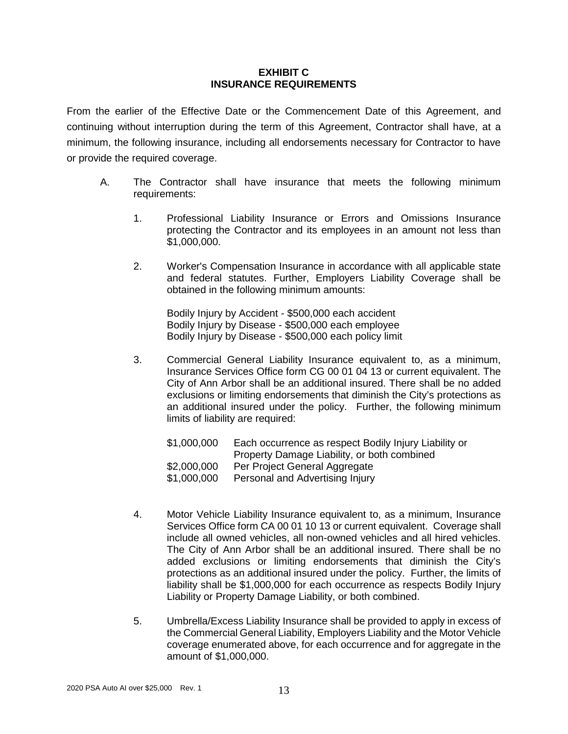#### **EXHIBIT C INSURANCE REQUIREMENTS**

From the earlier of the Effective Date or the Commencement Date of this Agreement, and continuing without interruption during the term of this Agreement, Contractor shall have, at a minimum, the following insurance, including all endorsements necessary for Contractor to have or provide the required coverage.

- A. The Contractor shall have insurance that meets the following minimum requirements:
	- 1. Professional Liability Insurance or Errors and Omissions Insurance protecting the Contractor and its employees in an amount not less than \$1,000,000.
	- 2. Worker's Compensation Insurance in accordance with all applicable state and federal statutes. Further, Employers Liability Coverage shall be obtained in the following minimum amounts:

Bodily Injury by Accident - \$500,000 each accident Bodily Injury by Disease - \$500,000 each employee Bodily Injury by Disease - \$500,000 each policy limit

3. Commercial General Liability Insurance equivalent to, as a minimum, Insurance Services Office form CG 00 01 04 13 or current equivalent. The City of Ann Arbor shall be an additional insured. There shall be no added exclusions or limiting endorsements that diminish the City's protections as an additional insured under the policy. Further, the following minimum limits of liability are required:

| \$1,000,000 | Each occurrence as respect Bodily Injury Liability or |
|-------------|-------------------------------------------------------|
|             | Property Damage Liability, or both combined           |
| \$2,000,000 | Per Project General Aggregate                         |
| \$1,000,000 | Personal and Advertising Injury                       |

- 4. Motor Vehicle Liability Insurance equivalent to, as a minimum, Insurance Services Office form CA 00 01 10 13 or current equivalent. Coverage shall include all owned vehicles, all non-owned vehicles and all hired vehicles. The City of Ann Arbor shall be an additional insured. There shall be no added exclusions or limiting endorsements that diminish the City's protections as an additional insured under the policy. Further, the limits of liability shall be \$1,000,000 for each occurrence as respects Bodily Injury Liability or Property Damage Liability, or both combined.
- 5. Umbrella/Excess Liability Insurance shall be provided to apply in excess of the Commercial General Liability, Employers Liability and the Motor Vehicle coverage enumerated above, for each occurrence and for aggregate in the amount of \$1,000,000.